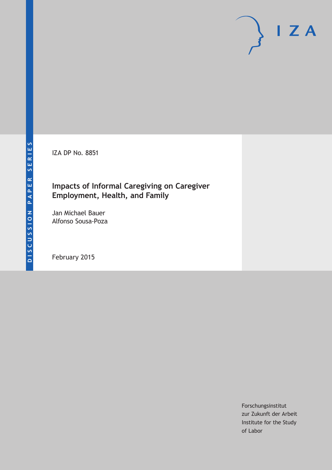IZA DP No. 8851

## **Impacts of Informal Caregiving on Caregiver Employment, Health, and Family**

Jan Michael Bauer Alfonso Sousa-Poza

February 2015

Forschungsinstitut zur Zukunft der Arbeit Institute for the Study of Labor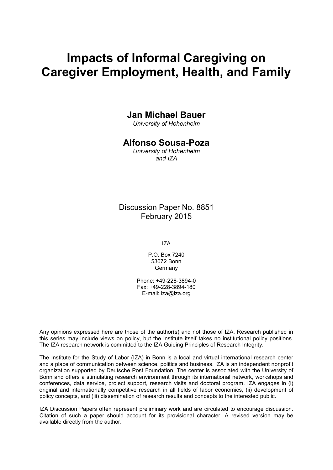# **Impacts of Informal Caregiving on Caregiver Employment, Health, and Family**

## **Jan Michael Bauer**

*University of Hohenheim*

## **Alfonso Sousa-Poza**

*University of Hohenheim and IZA*

Discussion Paper No. 8851 February 2015

IZA

P.O. Box 7240 53072 Bonn Germany

Phone: +49-228-3894-0 Fax: +49-228-3894-180 E-mail: [iza@iza.org](mailto:iza@iza.org)

Any opinions expressed here are those of the author(s) and not those of IZA. Research published in this series may include views on policy, but the institute itself takes no institutional policy positions. The IZA research network is committed to the IZA Guiding Principles of Research Integrity.

The Institute for the Study of Labor (IZA) in Bonn is a local and virtual international research center and a place of communication between science, politics and business. IZA is an independent nonprofit organization supported by Deutsche Post Foundation. The center is associated with the University of Bonn and offers a stimulating research environment through its international network, workshops and conferences, data service, project support, research visits and doctoral program. IZA engages in (i) original and internationally competitive research in all fields of labor economics, (ii) development of policy concepts, and (iii) dissemination of research results and concepts to the interested public.

IZA Discussion Papers often represent preliminary work and are circulated to encourage discussion. Citation of such a paper should account for its provisional character. A revised version may be available directly from the author.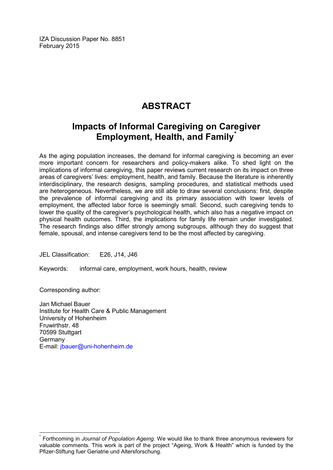IZA Discussion Paper No. 8851 February 2015

## **ABSTRACT**

## **Impacts of Informal Caregiving on Caregiver Employment, Health, and Family[\\*](#page-2-0)**

As the aging population increases, the demand for informal caregiving is becoming an ever more important concern for researchers and policy-makers alike. To shed light on the implications of informal caregiving, this paper reviews current research on its impact on three areas of caregivers' lives: employment, health, and family. Because the literature is inherently interdisciplinary, the research designs, sampling procedures, and statistical methods used are heterogeneous. Nevertheless, we are still able to draw several conclusions: first, despite the prevalence of informal caregiving and its primary association with lower levels of employment, the affected labor force is seemingly small. Second, such caregiving tends to lower the quality of the caregiver's psychological health, which also has a negative impact on physical health outcomes. Third, the implications for family life remain under investigated. The research findings also differ strongly among subgroups, although they do suggest that female, spousal, and intense caregivers tend to be the most affected by caregiving.

JEL Classification: E26, J14, J46

Keywords: informal care, employment, work hours, health, review

Corresponding author:

Jan Michael Bauer Institute for Health Care & Public Management University of Hohenheim Fruwirthstr. 48 70599 Stuttgart Germany E-mail: [jbauer@uni-hohenheim.de](mailto:jbauer@uni-hohenheim.de)

<span id="page-2-0"></span>\* Forthcoming in *Journal of Population Ageing*. We would like to thank three anonymous reviewers for valuable comments. This work is part of the project "Ageing, Work & Health" which is funded by the Pfizer-Stiftung fuer Geriatrie und Altersforschung.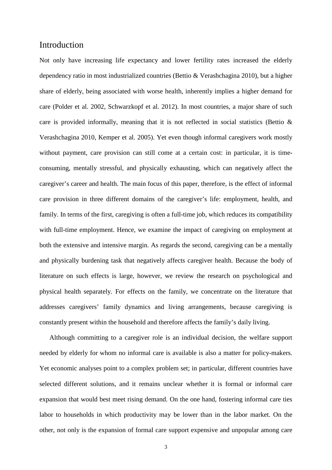### Introduction

Not only have increasing life expectancy and lower fertility rates increased the elderly dependency ratio in most industrialized countries (Bettio & Verashchagina 2010), but a higher share of elderly, being associated with worse health, inherently implies a higher demand for care (Polder et al. 2002, Schwarzkopf et al. 2012). In most countries, a major share of such care is provided informally, meaning that it is not reflected in social statistics (Bettio  $\&$ Verashchagina 2010, Kemper et al. 2005). Yet even though informal caregivers work mostly without payment, care provision can still come at a certain cost: in particular, it is timeconsuming, mentally stressful, and physically exhausting, which can negatively affect the caregiver's career and health. The main focus of this paper, therefore, is the effect of informal care provision in three different domains of the caregiver's life: employment, health, and family. In terms of the first, caregiving is often a full-time job, which reduces its compatibility with full-time employment. Hence, we examine the impact of caregiving on employment at both the extensive and intensive margin. As regards the second, caregiving can be a mentally and physically burdening task that negatively affects caregiver health. Because the body of literature on such effects is large, however, we review the research on psychological and physical health separately. For effects on the family, we concentrate on the literature that addresses caregivers' family dynamics and living arrangements, because caregiving is constantly present within the household and therefore affects the family's daily living.

Although committing to a caregiver role is an individual decision, the welfare support needed by elderly for whom no informal care is available is also a matter for policy-makers. Yet economic analyses point to a complex problem set; in particular, different countries have selected different solutions, and it remains unclear whether it is formal or informal care expansion that would best meet rising demand. On the one hand, fostering informal care ties labor to households in which productivity may be lower than in the labor market. On the other, not only is the expansion of formal care support expensive and unpopular among care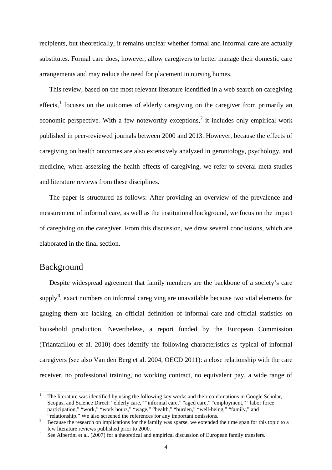recipients, but theoretically, it remains unclear whether formal and informal care are actually substitutes. Formal care does, however, allow caregivers to better manage their domestic care arrangements and may reduce the need for placement in nursing homes.

This review, based on the most relevant literature identified in a web search on caregiving effects,<sup>1</sup> focuses on the outcomes of elderly caregiving on the caregiver from primarily an economic perspective. With a few noteworthy exceptions,<sup>[2](#page-4-0)</sup> it includes only empirical work published in peer-reviewed journals between 2000 and 2013. However, because the effects of caregiving on health outcomes are also extensively analyzed in gerontology, psychology, and medicine, when assessing the health effects of caregiving, we refer to several meta-studies and literature reviews from these disciplines.

The paper is structured as follows: After providing an overview of the prevalence and measurement of informal care, as well as the institutional background, we focus on the impact of caregiving on the caregiver. From this discussion, we draw several conclusions, which are elaborated in the final section.

## Background

Despite widespread agreement that family members are the backbone of a society's care supply<sup>[3](#page-4-1)</sup>, exact numbers on informal caregiving are unavailable because two vital elements for gauging them are lacking, an official definition of informal care and official statistics on household production. Nevertheless, a report funded by the European Commission (Triantafillou et al. 2010) does identify the following characteristics as typical of informal caregivers (see also Van den Berg et al. 2004, OECD 2011): a close relationship with the care receiver, no professional training, no working contract, no equivalent pay, a wide range of

<span id="page-4-2"></span> <sup>1</sup> The literature was identified by using the following key works and their combinations in Google Scholar, Scopus, and Science Direct: "elderly care," "informal care," "aged care," "employment," "labor force participation," "work," "work hours," "wage," "health," "burden," "well-being," "family," and "relationship." We also screened the references for any important omissions.

<span id="page-4-0"></span><sup>&</sup>lt;sup>2</sup> Because the research on implications for the family was sparse, we extended the time span for this topic to a few literature reviews published prior to 2000. 3 See Albertini et al. (2007) for a theoretical and empirical discussion of European family transfers.

<span id="page-4-1"></span>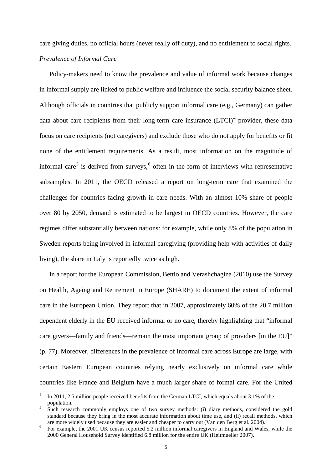care giving duties, no official hours (never really off duty), and no entitlement to social rights. *Prevalence of Informal Care*

Policy-makers need to know the prevalence and value of informal work because changes in informal supply are linked to public welfare and influence the social security balance sheet. Although officials in countries that publicly support informal care (e.g., Germany) can gather data about care recipients from their long-term care insurance  $(LTCI)^4$  $(LTCI)^4$  provider, these data focus on care recipients (not caregivers) and exclude those who do not apply for benefits or fit none of the entitlement requirements. As a result, most information on the magnitude of informal care<sup>[5](#page-5-0)</sup> is derived from surveys,<sup>[6](#page-5-1)</sup> often in the form of interviews with representative subsamples. In 2011, the OECD released a report on long-term care that examined the challenges for countries facing growth in care needs. With an almost 10% share of people over 80 by 2050, demand is estimated to be largest in OECD countries. However, the care regimes differ substantially between nations: for example, while only 8% of the population in Sweden reports being involved in informal caregiving (providing help with activities of daily living), the share in Italy is reportedly twice as high.

In a report for the European Commission, Bettio and Verashchagina (2010) use the Survey on Health, Ageing and Retirement in Europe (SHARE) to document the extent of informal care in the European Union. They report that in 2007, approximately 60% of the 20.7 million dependent elderly in the EU received informal or no care, thereby highlighting that "informal care givers—family and friends—remain the most important group of providers [in the EU]" (p. 77). Moreover, differences in the prevalence of informal care across Europe are large, with certain Eastern European countries relying nearly exclusively on informal care while countries like France and Belgium have a much larger share of formal care. For the United

<span id="page-5-2"></span>In 2011, 2.5 million people received benefits from the German LTCI, which equals about 3.1% of the population.

<span id="page-5-0"></span>Such research commonly employs one of two survey methods: (i) diary methods, considered the gold standard because they bring in the most accurate information about time use, and (ii) recall methods, which are more widely used because they are easier and cheaper to carry out (Van den Berg et al. 2004).

<span id="page-5-1"></span>For example, the 2001 UK census reported 5.2 million informal caregivers in England and Wales, while the 2000 General Household Survey identified 6.8 million for the entire UK (Heitmueller 2007).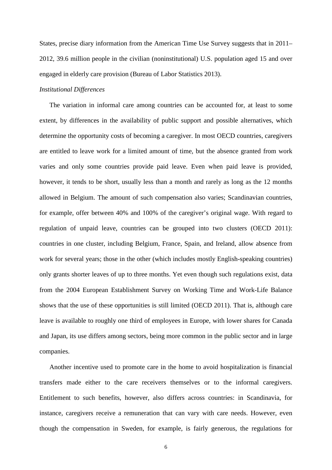States, precise diary information from the American Time Use Survey suggests that in 2011– 2012, 39.6 million people in the civilian (noninstitutional) U.S. population aged 15 and over engaged in elderly care provision (Bureau of Labor Statistics 2013).

#### *Institutional Differences*

The variation in informal care among countries can be accounted for, at least to some extent, by differences in the availability of public support and possible alternatives, which determine the opportunity costs of becoming a caregiver. In most OECD countries, caregivers are entitled to leave work for a limited amount of time, but the absence granted from work varies and only some countries provide paid leave. Even when paid leave is provided, however, it tends to be short, usually less than a month and rarely as long as the 12 months allowed in Belgium. The amount of such compensation also varies; Scandinavian countries, for example, offer between 40% and 100% of the caregiver's original wage. With regard to regulation of unpaid leave, countries can be grouped into two clusters (OECD 2011): countries in one cluster, including Belgium, France, Spain, and Ireland, allow absence from work for several years; those in the other (which includes mostly English-speaking countries) only grants shorter leaves of up to three months. Yet even though such regulations exist, data from the 2004 European Establishment Survey on Working Time and Work-Life Balance shows that the use of these opportunities is still limited (OECD 2011). That is, although care leave is available to roughly one third of employees in Europe, with lower shares for Canada and Japan, its use differs among sectors, being more common in the public sector and in large companies.

Another incentive used to promote care in the home to avoid hospitalization is financial transfers made either to the care receivers themselves or to the informal caregivers. Entitlement to such benefits, however, also differs across countries: in Scandinavia, for instance, caregivers receive a remuneration that can vary with care needs. However, even though the compensation in Sweden, for example, is fairly generous, the regulations for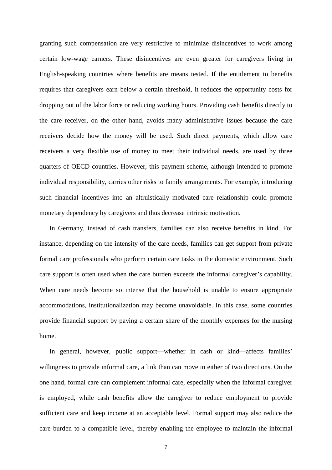granting such compensation are very restrictive to minimize disincentives to work among certain low-wage earners. These disincentives are even greater for caregivers living in English-speaking countries where benefits are means tested. If the entitlement to benefits requires that caregivers earn below a certain threshold, it reduces the opportunity costs for dropping out of the labor force or reducing working hours. Providing cash benefits directly to the care receiver, on the other hand, avoids many administrative issues because the care receivers decide how the money will be used. Such direct payments, which allow care receivers a very flexible use of money to meet their individual needs, are used by three quarters of OECD countries. However, this payment scheme, although intended to promote individual responsibility, carries other risks to family arrangements. For example, introducing such financial incentives into an altruistically motivated care relationship could promote monetary dependency by caregivers and thus decrease intrinsic motivation.

In Germany, instead of cash transfers, families can also receive benefits in kind. For instance, depending on the intensity of the care needs, families can get support from private formal care professionals who perform certain care tasks in the domestic environment. Such care support is often used when the care burden exceeds the informal caregiver's capability. When care needs become so intense that the household is unable to ensure appropriate accommodations, institutionalization may become unavoidable. In this case, some countries provide financial support by paying a certain share of the monthly expenses for the nursing home.

In general, however, public support—whether in cash or kind—affects families' willingness to provide informal care, a link than can move in either of two directions. On the one hand, formal care can complement informal care, especially when the informal caregiver is employed, while cash benefits allow the caregiver to reduce employment to provide sufficient care and keep income at an acceptable level. Formal support may also reduce the care burden to a compatible level, thereby enabling the employee to maintain the informal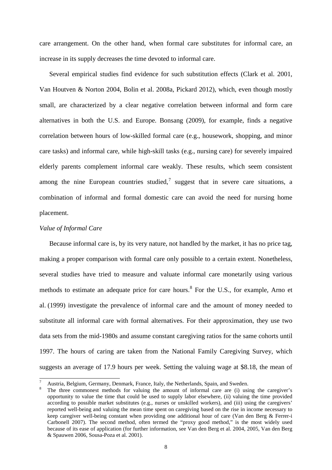care arrangement. On the other hand, when formal care substitutes for informal care, an increase in its supply decreases the time devoted to informal care.

Several empirical studies find evidence for such substitution effects (Clark et al. 2001, Van Houtven & Norton 2004, Bolin et al. 2008a, Pickard 2012), which, even though mostly small, are characterized by a clear negative correlation between informal and form care alternatives in both the U.S. and Europe. Bonsang (2009), for example, finds a negative correlation between hours of low-skilled formal care (e.g., housework, shopping, and minor care tasks) and informal care, while high-skill tasks (e.g., nursing care) for severely impaired elderly parents complement informal care weakly. These results, which seem consistent among the nine European countries studied,<sup>[7](#page-5-2)</sup> suggest that in severe care situations, a combination of informal and formal domestic care can avoid the need for nursing home placement.

#### *Value of Informal Care*

Because informal care is, by its very nature, not handled by the market, it has no price tag, making a proper comparison with formal care only possible to a certain extent. Nonetheless, several studies have tried to measure and valuate informal care monetarily using various methods to estimate an adequate price for care hours.<sup>[8](#page-8-0)</sup> For the U.S., for example, Arno et al. (1999) investigate the prevalence of informal care and the amount of money needed to substitute all informal care with formal alternatives. For their approximation, they use two data sets from the mid-1980s and assume constant caregiving ratios for the same cohorts until 1997. The hours of caring are taken from the National Family Caregiving Survey, which suggests an average of 17.9 hours per week. Setting the valuing wage at \$8.18, the mean of

<span id="page-8-1"></span><span id="page-8-0"></span>

Austria, Belgium, Germany, Denmark, France, Italy, the Netherlands, Spain, and Sweden.<br>The three commonest methods for valuing the amount of informal care are (i) using the caregiver's opportunity to value the time that could be used to supply labor elsewhere, (ii) valuing the time provided according to possible market substitutes (e.g., nurses or unskilled workers), and (iii) using the caregivers' reported well-being and valuing the mean time spent on caregiving based on the rise in income necessary to keep caregiver well-being constant when providing one additional hour of care (Van den Berg & Ferrer-i Carbonell 2007). The second method, often termed the "proxy good method," is the most widely used because of its ease of application (for further information, see Van den Berg et al. 2004, 2005, Van den Berg & Spauwen 2006, Sousa-Poza et al. 2001).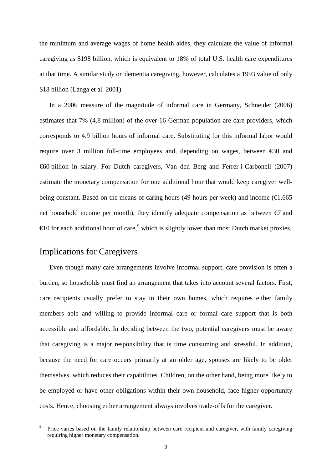the minimum and average wages of home health aides, they calculate the value of informal caregiving as \$198 billion, which is equivalent to 18% of total U.S. health care expenditures at that time. A similar study on dementia caregiving, however, calculates a 1993 value of only \$18 billion (Langa et al. 2001).

In a 2006 measure of the magnitude of informal care in Germany, Schneider (2006) estimates that 7% (4.8 million) of the over-16 German population are care providers, which corresponds to 4.9 billion hours of informal care. Substituting for this informal labor would require over 3 million full-time employees and, depending on wages, between €30 and €60 billion in salary. For Dutch caregivers, Van den Berg and Ferrer-i-Carbonell (2007) estimate the monetary compensation for one additional hour that would keep caregiver wellbeing constant. Based on the means of caring hours (49 hours per week) and income ( $\epsilon$ ,665 net household income per month), they identify adequate compensation as between  $\epsilon$  and  $\triangleleft$  0 for each additional hour of care,  $9$  which is slightly lower than most Dutch market proxies.

## Implications for Caregivers

Even though many care arrangements involve informal support, care provision is often a burden, so households must find an arrangement that takes into account several factors. First, care recipients usually prefer to stay in their own homes, which requires either family members able and willing to provide informal care or formal care support that is both accessible and affordable. In deciding between the two, potential caregivers must be aware that caregiving is a major responsibility that is time consuming and stressful. In addition, because the need for care occurs primarily at an older age, spouses are likely to be older themselves, which reduces their capabilities. Children, on the other hand, being more likely to be employed or have other obligations within their own household, face higher opportunity costs. Hence, choosing either arrangement always involves trade-offs for the caregiver.

<span id="page-9-0"></span>Price varies based on the family relationship between care recipient and caregiver, with family caregiving requiring higher monetary compensation.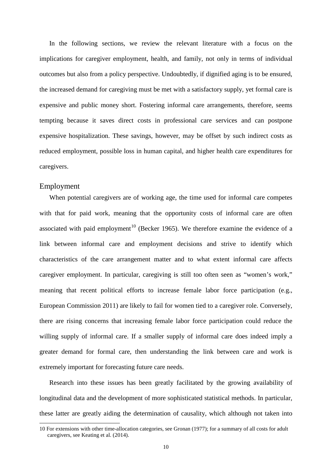In the following sections, we review the relevant literature with a focus on the implications for caregiver employment, health, and family, not only in terms of individual outcomes but also from a policy perspective. Undoubtedly, if dignified aging is to be ensured, the increased demand for caregiving must be met with a satisfactory supply, yet formal care is expensive and public money short. Fostering informal care arrangements, therefore, seems tempting because it saves direct costs in professional care services and can postpone expensive hospitalization. These savings, however, may be offset by such indirect costs as reduced employment, possible loss in human capital, and higher health care expenditures for caregivers.

#### Employment

 $\overline{a}$ 

When potential caregivers are of working age, the time used for informal care competes with that for paid work, meaning that the opportunity costs of informal care are often associated with paid employment<sup>[10](#page-9-0)</sup> (Becker 1965). We therefore examine the evidence of a link between informal care and employment decisions and strive to identify which characteristics of the care arrangement matter and to what extent informal care affects caregiver employment. In particular, caregiving is still too often seen as "women's work," meaning that recent political efforts to increase female labor force participation (e.g., European Commission 2011) are likely to fail for women tied to a caregiver role. Conversely, there are rising concerns that increasing female labor force participation could reduce the willing supply of informal care. If a smaller supply of informal care does indeed imply a greater demand for formal care, then understanding the link between care and work is extremely important for forecasting future care needs.

Research into these issues has been greatly facilitated by the growing availability of longitudinal data and the development of more sophisticated statistical methods. In particular, these latter are greatly aiding the determination of causality, which although not taken into

<span id="page-10-0"></span><sup>10</sup> For extensions with other time-allocation categories, see Gronan (1977); for a summary of all costs for adult caregivers, see Keating et al. (2014).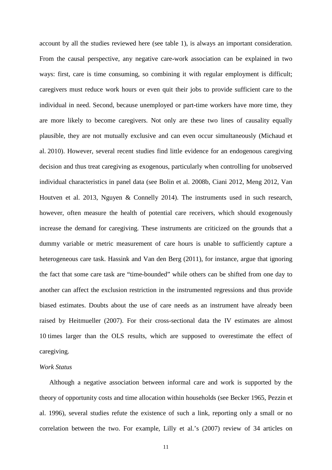account by all the studies reviewed here (see table 1), is always an important consideration. From the causal perspective, any negative care-work association can be explained in two ways: first, care is time consuming, so combining it with regular employment is difficult; caregivers must reduce work hours or even quit their jobs to provide sufficient care to the individual in need. Second, because unemployed or part-time workers have more time, they are more likely to become caregivers. Not only are these two lines of causality equally plausible, they are not mutually exclusive and can even occur simultaneously (Michaud et al. 2010). However, several recent studies find little evidence for an endogenous caregiving decision and thus treat caregiving as exogenous, particularly when controlling for unobserved individual characteristics in panel data (see Bolin et al. 2008b, Ciani 2012, Meng 2012, Van Houtven et al. 2013, Nguyen & Connelly 2014). The instruments used in such research, however, often measure the health of potential care receivers, which should exogenously increase the demand for caregiving. These instruments are criticized on the grounds that a dummy variable or metric measurement of care hours is unable to sufficiently capture a heterogeneous care task. Hassink and Van den Berg (2011), for instance, argue that ignoring the fact that some care task are "time-bounded" while others can be shifted from one day to another can affect the exclusion restriction in the instrumented regressions and thus provide biased estimates. Doubts about the use of care needs as an instrument have already been raised by Heitmueller (2007). For their cross-sectional data the IV estimates are almost 10 times larger than the OLS results, which are supposed to overestimate the effect of caregiving.

#### *Work Status*

Although a negative association between informal care and work is supported by the theory of opportunity costs and time allocation within households (see Becker 1965, Pezzin et al. 1996), several studies refute the existence of such a link, reporting only a small or no correlation between the two. For example, Lilly et al.'s (2007) review of 34 articles on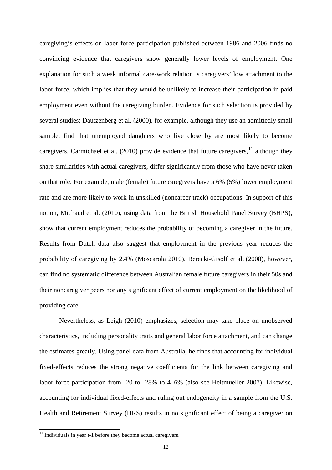caregiving's effects on labor force participation published between 1986 and 2006 finds no convincing evidence that caregivers show generally lower levels of employment. One explanation for such a weak informal care-work relation is caregivers' low attachment to the labor force, which implies that they would be unlikely to increase their participation in paid employment even without the caregiving burden. Evidence for such selection is provided by several studies: Dautzenberg et al. (2000), for example, although they use an admittedly small sample, find that unemployed daughters who live close by are most likely to become caregivers. Carmichael et al.  $(2010)$  provide evidence that future caregivers,  $11$  although they share similarities with actual caregivers, differ significantly from those who have never taken on that role. For example, male (female) future caregivers have a 6% (5%) lower employment rate and are more likely to work in unskilled (noncareer track) occupations. In support of this notion, Michaud et al. (2010), using data from the British Household Panel Survey (BHPS), show that current employment reduces the probability of becoming a caregiver in the future. Results from Dutch data also suggest that employment in the previous year reduces the probability of caregiving by 2.4% (Moscarola 2010). Berecki-Gisolf et al. (2008), however, can find no systematic difference between Australian female future caregivers in their 50s and their noncaregiver peers nor any significant effect of current employment on the likelihood of providing care.

Nevertheless, as Leigh (2010) emphasizes, selection may take place on unobserved characteristics, including personality traits and general labor force attachment, and can change the estimates greatly. Using panel data from Australia, he finds that accounting for individual fixed-effects reduces the strong negative coefficients for the link between caregiving and labor force participation from -20 to -28% to 4–6% (also see Heitmueller 2007). Likewise, accounting for individual fixed-effects and ruling out endogeneity in a sample from the U.S. Health and Retirement Survey (HRS) results in no significant effect of being a caregiver on

<span id="page-12-0"></span><sup>&</sup>lt;sup>11</sup> Individuals in year *t*-1 before they become actual caregivers.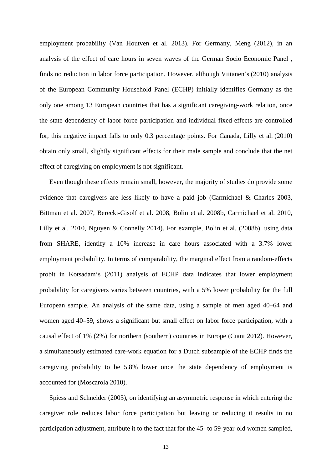employment probability (Van Houtven et al. 2013). For Germany, Meng (2012), in an analysis of the effect of care hours in seven waves of the German Socio Economic Panel , finds no reduction in labor force participation. However, although Viitanen's (2010) analysis of the European Community Household Panel (ECHP) initially identifies Germany as the only one among 13 European countries that has a significant caregiving-work relation, once the state dependency of labor force participation and individual fixed-effects are controlled for, this negative impact falls to only 0.3 percentage points. For Canada, Lilly et al. (2010) obtain only small, slightly significant effects for their male sample and conclude that the net effect of caregiving on employment is not significant.

Even though these effects remain small, however, the majority of studies do provide some evidence that caregivers are less likely to have a paid job (Carmichael & Charles 2003, Bittman et al. 2007, Berecki-Gisolf et al. 2008, Bolin et al. 2008b, Carmichael et al. 2010, Lilly et al. 2010, Nguyen & Connelly 2014). For example, Bolin et al. (2008b), using data from SHARE, identify a 10% increase in care hours associated with a 3.7% lower employment probability. In terms of comparability, the marginal effect from a random-effects probit in Kotsadam's (2011) analysis of ECHP data indicates that lower employment probability for caregivers varies between countries, with a 5% lower probability for the full European sample. An analysis of the same data, using a sample of men aged 40–64 and women aged 40–59, shows a significant but small effect on labor force participation, with a causal effect of 1% (2%) for northern (southern) countries in Europe (Ciani 2012). However, a simultaneously estimated care-work equation for a Dutch subsample of the ECHP finds the caregiving probability to be 5.8% lower once the state dependency of employment is accounted for (Moscarola 2010).

Spiess and Schneider (2003), on identifying an asymmetric response in which entering the caregiver role reduces labor force participation but leaving or reducing it results in no participation adjustment, attribute it to the fact that for the 45- to 59-year-old women sampled,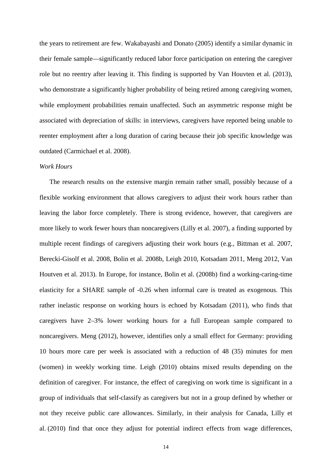the years to retirement are few. Wakabayashi and Donato (2005) identify a similar dynamic in their female sample—significantly reduced labor force participation on entering the caregiver role but no reentry after leaving it. This finding is supported by Van Houvten et al. (2013), who demonstrate a significantly higher probability of being retired among caregiving women, while employment probabilities remain unaffected. Such an asymmetric response might be associated with depreciation of skills: in interviews, caregivers have reported being unable to reenter employment after a long duration of caring because their job specific knowledge was outdated (Carmichael et al. 2008).

#### *Work Hours*

The research results on the extensive margin remain rather small, possibly because of a flexible working environment that allows caregivers to adjust their work hours rather than leaving the labor force completely. There is strong evidence, however, that caregivers are more likely to work fewer hours than noncaregivers (Lilly et al. 2007), a finding supported by multiple recent findings of caregivers adjusting their work hours (e.g., Bittman et al. 2007, Berecki-Gisolf et al. 2008, Bolin et al. 2008b, Leigh 2010, Kotsadam 2011, Meng 2012, Van Houtven et al. 2013). In Europe, for instance, Bolin et al. (2008b) find a working-caring-time elasticity for a SHARE sample of -0.26 when informal care is treated as exogenous. This rather inelastic response on working hours is echoed by Kotsadam (2011), who finds that caregivers have 2–3% lower working hours for a full European sample compared to noncaregivers. Meng (2012), however, identifies only a small effect for Germany: providing 10 hours more care per week is associated with a reduction of 48 (35) minutes for men (women) in weekly working time. Leigh (2010) obtains mixed results depending on the definition of caregiver. For instance, the effect of caregiving on work time is significant in a group of individuals that self-classify as caregivers but not in a group defined by whether or not they receive public care allowances. Similarly, in their analysis for Canada, Lilly et al. (2010) find that once they adjust for potential indirect effects from wage differences,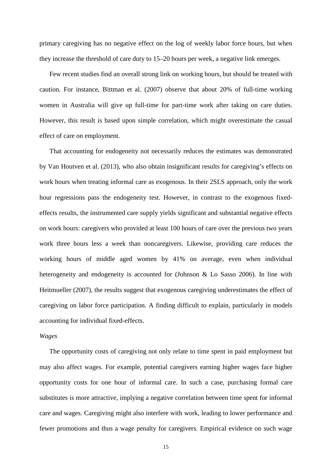primary caregiving has no negative effect on the log of weekly labor force hours, but when they increase the threshold of care duty to 15–20 hours per week, a negative link emerges.

Few recent studies find an overall strong link on working hours, but should be treated with caution. For instance, Bittman et al. (2007) observe that about 20% of full-time working women in Australia will give up full-time for part-time work after taking on care duties. However, this result is based upon simple correlation, which might overestimate the casual effect of care on employment.

That accounting for endogeneity not necessarily reduces the estimates was demonstrated by Van Houtven et al. (2013), who also obtain insignificant results for caregiving's effects on work hours when treating informal care as exogenous. In their 2SLS approach, only the work hour regressions pass the endogeneity test. However, in contrast to the exogenous fixedeffects results, the instrumented care supply yields significant and substantial negative effects on work hours: caregivers who provided at least 100 hours of care over the previous two years work three hours less a week than noncaregivers. Likewise, providing care reduces the working hours of middle aged women by 41% on average, even when individual heterogeneity and endogeneity is accounted for (Johnson & Lo Sasso 2006). In line with Heitmueller (2007), the results suggest that exogenous caregiving underestimates the effect of caregiving on labor force participation. A finding difficult to explain, particularly in models accounting for individual fixed-effects.

#### *Wages*

The opportunity costs of caregiving not only relate to time spent in paid employment but may also affect wages. For example, potential caregivers earning higher wages face higher opportunity costs for one hour of informal care. In such a case, purchasing formal care substitutes is more attractive, implying a negative correlation between time spent for informal care and wages. Caregiving might also interfere with work, leading to lower performance and fewer promotions and thus a wage penalty for caregivers. Empirical evidence on such wage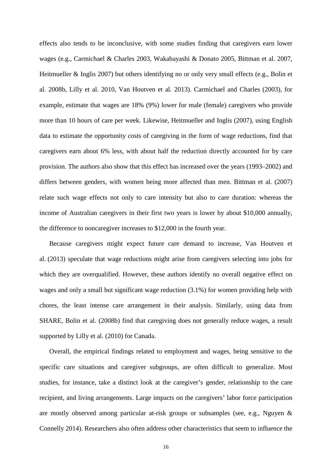effects also tends to be inconclusive, with some studies finding that caregivers earn lower wages (e.g., Carmichael & Charles 2003, Wakabayashi & Donato 2005, Bittman et al. 2007, Heitmueller & Inglis 2007) but others identifying no or only very small effects (e.g., Bolin et al. 2008b, Lilly et al. 2010, Van Houtven et al. 2013). Carmichael and Charles (2003), for example, estimate that wages are 18% (9%) lower for male (female) caregivers who provide more than 10 hours of care per week. Likewise, Heitmueller and Inglis (2007), using English data to estimate the opportunity costs of caregiving in the form of wage reductions, find that caregivers earn about 6% less, with about half the reduction directly accounted for by care provision. The authors also show that this effect has increased over the years (1993–2002) and differs between genders, with women being more affected than men. Bittman et al. (2007) relate such wage effects not only to care intensity but also to care duration: whereas the income of Australian caregivers in their first two years is lower by about \$10,000 annually, the difference to noncaregiver increases to \$12,000 in the fourth year.

Because caregivers might expect future care demand to increase, Van Houtven et al. (2013) speculate that wage reductions might arise from caregivers selecting into jobs for which they are overqualified. However, these authors identify no overall negative effect on wages and only a small but significant wage reduction (3.1%) for women providing help with chores, the least intense care arrangement in their analysis. Similarly, using data from SHARE, Bolin et al. (2008b) find that caregiving does not generally reduce wages, a result supported by Lilly et al. (2010) for Canada.

Overall, the empirical findings related to employment and wages, being sensitive to the specific care situations and caregiver subgroups, are often difficult to generalize. Most studies, for instance, take a distinct look at the caregiver's gender, relationship to the care recipient, and living arrangements. Large impacts on the caregivers' labor force participation are mostly observed among particular at-risk groups or subsamples (see, e.g., Nguyen & Connelly 2014). Researchers also often address other characteristics that seem to influence the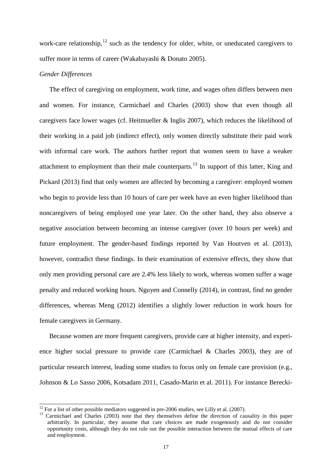work-care relationship,  $^{12}$  $^{12}$  $^{12}$  such as the tendency for older, white, or uneducated caregivers to suffer more in terms of career (Wakabayashi & Donato 2005).

#### *Gender Differences*

The effect of caregiving on employment, work time, and wages often differs between men and women. For instance, Carmichael and Charles (2003) show that even though all caregivers face lower wages (cf. Heitmueller & Inglis 2007), which reduces the likelihood of their working in a paid job (indirect effect), only women directly substitute their paid work with informal care work. The authors further report that women seem to have a weaker attachment to employment than their male counterparts.<sup>[13](#page-17-0)</sup> In support of this latter, King and Pickard (2013) find that only women are affected by becoming a caregiver: employed women who begin to provide less than 10 hours of care per week have an even higher likelihood than noncaregivers of being employed one year later. On the other hand, they also observe a negative association between becoming an intense caregiver (over 10 hours per week) and future employment. The gender-based findings reported by Van Houtven et al. (2013), however, contradict these findings. In their examination of extensive effects, they show that only men providing personal care are 2.4% less likely to work, whereas women suffer a wage penalty and reduced working hours. Nguyen and Connelly (2014), in contrast, find no gender differences, whereas Meng (2012) identifies a slightly lower reduction in work hours for female caregivers in Germany.

Because women are more frequent caregivers, provide care at higher intensity, and experience higher social pressure to provide care (Carmichael & Charles 2003), they are of particular research interest, leading some studies to focus only on female care provision (e.g., Johnson & Lo Sasso 2006, Kotsadam 2011, Casado-Marin et al. 2011). For instance Berecki-

<span id="page-17-1"></span><span id="page-17-0"></span>

<sup>&</sup>lt;sup>12</sup> For a list of other possible mediators suggested in pre-2006 studies, see Lilly et al. (2007).<br><sup>13</sup> Carmichael and Charles (2003) note that they themselves define the direction of causality in this paper arbitrarily. In particular, they assume that care choices are made exogenously and do not consider opportunity costs, although they do not rule out the possible interaction between the mutual effects of care and employment.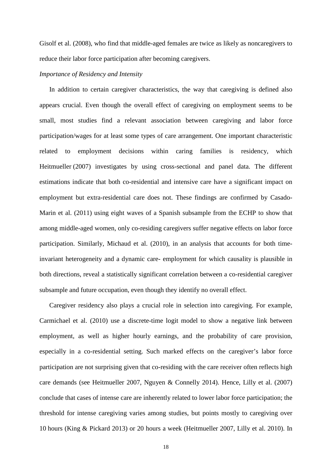Gisolf et al. (2008), who find that middle-aged females are twice as likely as noncaregivers to reduce their labor force participation after becoming caregivers.

#### *Importance of Residency and Intensity*

In addition to certain caregiver characteristics, the way that caregiving is defined also appears crucial. Even though the overall effect of caregiving on employment seems to be small, most studies find a relevant association between caregiving and labor force participation/wages for at least some types of care arrangement. One important characteristic related to employment decisions within caring families is residency, which Heitmueller (2007) investigates by using cross-sectional and panel data. The different estimations indicate that both co-residential and intensive care have a significant impact on employment but extra-residential care does not. These findings are confirmed by Casado-Marin et al. (2011) using eight waves of a Spanish subsample from the ECHP to show that among middle-aged women, only co-residing caregivers suffer negative effects on labor force participation. Similarly, Michaud et al. (2010), in an analysis that accounts for both timeinvariant heterogeneity and a dynamic care- employment for which causality is plausible in both directions, reveal a statistically significant correlation between a co-residential caregiver subsample and future occupation, even though they identify no overall effect.

Caregiver residency also plays a crucial role in selection into caregiving. For example, Carmichael et al. (2010) use a discrete-time logit model to show a negative link between employment, as well as higher hourly earnings, and the probability of care provision, especially in a co-residential setting. Such marked effects on the caregiver's labor force participation are not surprising given that co-residing with the care receiver often reflects high care demands (see Heitmueller 2007, Nguyen & Connelly 2014). Hence, Lilly et al. (2007) conclude that cases of intense care are inherently related to lower labor force participation; the threshold for intense caregiving varies among studies, but points mostly to caregiving over 10 hours (King & Pickard 2013) or 20 hours a week (Heitmueller 2007, Lilly et al. 2010). In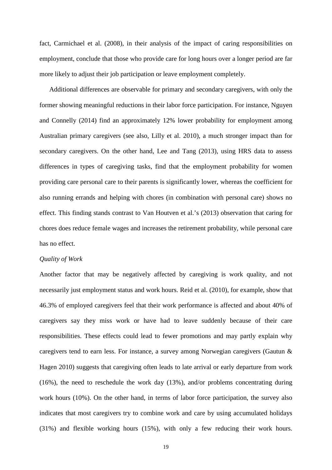fact, Carmichael et al. (2008), in their analysis of the impact of caring responsibilities on employment, conclude that those who provide care for long hours over a longer period are far more likely to adjust their job participation or leave employment completely.

Additional differences are observable for primary and secondary caregivers, with only the former showing meaningful reductions in their labor force participation. For instance, Nguyen and Connelly (2014) find an approximately 12% lower probability for employment among Australian primary caregivers (see also, Lilly et al. 2010), a much stronger impact than for secondary caregivers. On the other hand, Lee and Tang (2013), using HRS data to assess differences in types of caregiving tasks, find that the employment probability for women providing care personal care to their parents is significantly lower, whereas the coefficient for also running errands and helping with chores (in combination with personal care) shows no effect. This finding stands contrast to Van Houtven et al.'s (2013) observation that caring for chores does reduce female wages and increases the retirement probability, while personal care has no effect.

#### *Quality of Work*

Another factor that may be negatively affected by caregiving is work quality, and not necessarily just employment status and work hours. Reid et al. (2010), for example, show that 46.3% of employed caregivers feel that their work performance is affected and about 40% of caregivers say they miss work or have had to leave suddenly because of their care responsibilities. These effects could lead to fewer promotions and may partly explain why caregivers tend to earn less. For instance, a survey among Norwegian caregivers (Gautun & Hagen 2010) suggests that caregiving often leads to late arrival or early departure from work (16%), the need to reschedule the work day (13%), and/or problems concentrating during work hours (10%). On the other hand, in terms of labor force participation, the survey also indicates that most caregivers try to combine work and care by using accumulated holidays (31%) and flexible working hours (15%), with only a few reducing their work hours.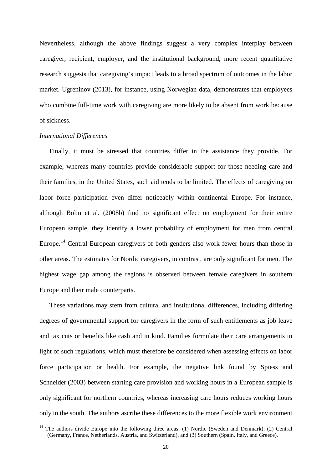Nevertheless, although the above findings suggest a very complex interplay between caregiver, recipient, employer, and the institutional background, more recent quantitative research suggests that caregiving's impact leads to a broad spectrum of outcomes in the labor market. Ugreninov (2013), for instance, using Norwegian data, demonstrates that employees who combine full-time work with caregiving are more likely to be absent from work because of sickness.

#### *International Differences*

Finally, it must be stressed that countries differ in the assistance they provide. For example, whereas many countries provide considerable support for those needing care and their families, in the United States, such aid tends to be limited. The effects of caregiving on labor force participation even differ noticeably within continental Europe. For instance, although Bolin et al. (2008b) find no significant effect on employment for their entire European sample, they identify a lower probability of employment for men from central Europe.[14](#page-17-1) Central European caregivers of both genders also work fewer hours than those in other areas. The estimates for Nordic caregivers, in contrast, are only significant for men. The highest wage gap among the regions is observed between female caregivers in southern Europe and their male counterparts.

These variations may stem from cultural and institutional differences, including differing degrees of governmental support for caregivers in the form of such entitlements as job leave and tax cuts or benefits like cash and in kind. Families formulate their care arrangements in light of such regulations, which must therefore be considered when assessing effects on labor force participation or health. For example, the negative link found by Spiess and Schneider (2003) between starting care provision and working hours in a European sample is only significant for northern countries, whereas increasing care hours reduces working hours only in the south. The authors ascribe these differences to the more flexible work environment

<span id="page-20-0"></span><sup>&</sup>lt;sup>14</sup> The authors divide Europe into the following three areas: (1) Nordic (Sweden and Denmark); (2) Central (Germany, France, Netherlands, Austria, and Switzerland), and (3) Southern (Spain, Italy, and Greece).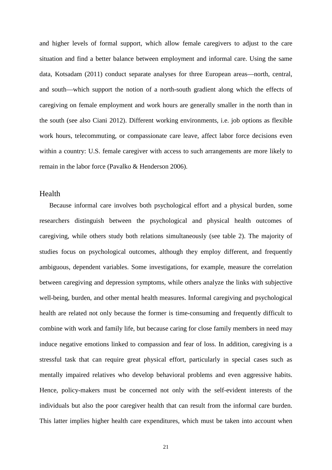and higher levels of formal support, which allow female caregivers to adjust to the care situation and find a better balance between employment and informal care. Using the same data, Kotsadam (2011) conduct separate analyses for three European areas—north, central, and south—which support the notion of a north-south gradient along which the effects of caregiving on female employment and work hours are generally smaller in the north than in the south (see also Ciani 2012). Different working environments, i.e. job options as flexible work hours, telecommuting, or compassionate care leave, affect labor force decisions even within a country: U.S. female caregiver with access to such arrangements are more likely to remain in the labor force (Pavalko & Henderson 2006).

#### Health

Because informal care involves both psychological effort and a physical burden, some researchers distinguish between the psychological and physical health outcomes of caregiving, while others study both relations simultaneously (see table 2). The majority of studies focus on psychological outcomes, although they employ different, and frequently ambiguous, dependent variables. Some investigations, for example, measure the correlation between caregiving and depression symptoms, while others analyze the links with subjective well-being, burden, and other mental health measures. Informal caregiving and psychological health are related not only because the former is time-consuming and frequently difficult to combine with work and family life, but because caring for close family members in need may induce negative emotions linked to compassion and fear of loss. In addition, caregiving is a stressful task that can require great physical effort, particularly in special cases such as mentally impaired relatives who develop behavioral problems and even aggressive habits. Hence, policy-makers must be concerned not only with the self-evident interests of the individuals but also the poor caregiver health that can result from the informal care burden. This latter implies higher health care expenditures, which must be taken into account when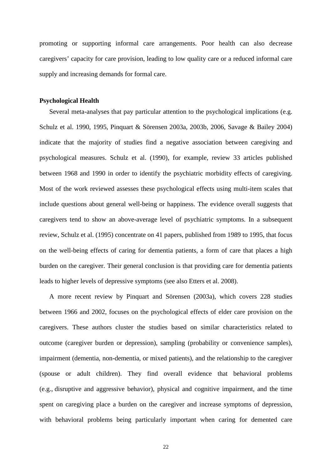promoting or supporting informal care arrangements. Poor health can also decrease caregivers' capacity for care provision, leading to low quality care or a reduced informal care supply and increasing demands for formal care.

#### **Psychological Health**

Several meta-analyses that pay particular attention to the psychological implications (e.g. Schulz et al. 1990, 1995, Pinquart & Sörensen 2003a, 2003b, 2006, Savage & Bailey 2004) indicate that the majority of studies find a negative association between caregiving and psychological measures. Schulz et al. (1990), for example, review 33 articles published between 1968 and 1990 in order to identify the psychiatric morbidity effects of caregiving. Most of the work reviewed assesses these psychological effects using multi-item scales that include questions about general well-being or happiness. The evidence overall suggests that caregivers tend to show an above-average level of psychiatric symptoms. In a subsequent review, Schulz et al. (1995) concentrate on 41 papers, published from 1989 to 1995, that focus on the well-being effects of caring for dementia patients, a form of care that places a high burden on the caregiver. Their general conclusion is that providing care for dementia patients leads to higher levels of depressive symptoms (see also Etters et al. 2008).

A more recent review by Pinquart and Sörensen (2003a), which covers 228 studies between 1966 and 2002, focuses on the psychological effects of elder care provision on the caregivers. These authors cluster the studies based on similar characteristics related to outcome (caregiver burden or depression), sampling (probability or convenience samples), impairment (dementia, non-dementia, or mixed patients), and the relationship to the caregiver (spouse or adult children). They find overall evidence that behavioral problems (e.g., disruptive and aggressive behavior), physical and cognitive impairment, and the time spent on caregiving place a burden on the caregiver and increase symptoms of depression, with behavioral problems being particularly important when caring for demented care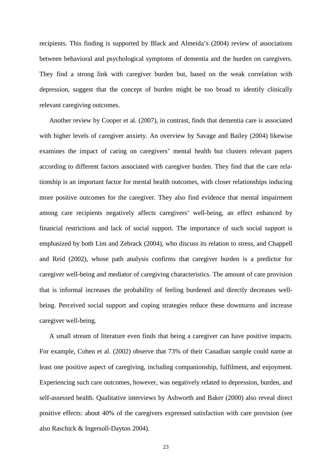recipients. This finding is supported by Black and Almeida's (2004) review of associations between behavioral and psychological symptoms of dementia and the burden on caregivers. They find a strong link with caregiver burden but, based on the weak correlation with depression, suggest that the concept of burden might be too broad to identify clinically relevant caregiving outcomes.

Another review by Cooper et al. (2007), in contrast, finds that dementia care is associated with higher levels of caregiver anxiety. An overview by Savage and Bailey (2004) likewise examines the impact of caring on caregivers' mental health but clusters relevant papers according to different factors associated with caregiver burden. They find that the care relationship is an important factor for mental health outcomes, with closer relationships inducing more positive outcomes for the caregiver. They also find evidence that mental impairment among care recipients negatively affects caregivers' well-being, an effect enhanced by financial restrictions and lack of social support. The importance of such social support is emphasized by both Lim and Zebrack (2004), who discuss its relation to stress, and Chappell and Reid (2002), whose path analysis confirms that caregiver burden is a predictor for caregiver well-being and mediator of caregiving characteristics. The amount of care provision that is informal increases the probability of feeling burdened and directly decreases wellbeing. Perceived social support and coping strategies reduce these downturns and increase caregiver well-being.

A small stream of literature even finds that being a caregiver can have positive impacts. For example, Cohen et al. (2002) observe that 73% of their Canadian sample could name at least one positive aspect of caregiving, including companionship, fulfilment, and enjoyment. Experiencing such care outcomes, however, was negatively related to depression, burden, and self-assessed health. Qualitative interviews by Ashworth and Baker (2000) also reveal direct positive effects: about 40% of the caregivers expressed satisfaction with care provision (see also Raschick & Ingersoll-Dayton 2004).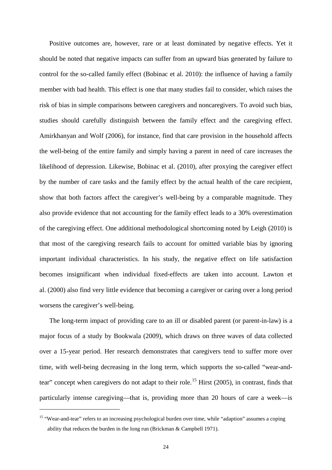Positive outcomes are, however, rare or at least dominated by negative effects. Yet it should be noted that negative impacts can suffer from an upward bias generated by failure to control for the so-called family effect (Bobinac et al. 2010): the influence of having a family member with bad health. This effect is one that many studies fail to consider, which raises the risk of bias in simple comparisons between caregivers and noncaregivers. To avoid such bias, studies should carefully distinguish between the family effect and the caregiving effect. Amirkhanyan and Wolf (2006), for instance, find that care provision in the household affects the well-being of the entire family and simply having a parent in need of care increases the likelihood of depression. Likewise, Bobinac et al. (2010), after proxying the caregiver effect by the number of care tasks and the family effect by the actual health of the care recipient, show that both factors affect the caregiver's well-being by a comparable magnitude. They also provide evidence that not accounting for the family effect leads to a 30% overestimation of the caregiving effect. One additional methodological shortcoming noted by Leigh (2010) is that most of the caregiving research fails to account for omitted variable bias by ignoring important individual characteristics. In his study, the negative effect on life satisfaction becomes insignificant when individual fixed-effects are taken into account. Lawton et al. (2000) also find very little evidence that becoming a caregiver or caring over a long period worsens the caregiver's well-being.

The long-term impact of providing care to an ill or disabled parent (or parent-in-law) is a major focus of a study by Bookwala (2009), which draws on three waves of data collected over a 15-year period. Her research demonstrates that caregivers tend to suffer more over time, with well-being decreasing in the long term, which supports the so-called "wear-and-tear" concept when caregivers do not adapt to their role.<sup>[15](#page-20-0)</sup> Hirst (2005), in contrast, finds that particularly intense caregiving—that is, providing more than 20 hours of care a week—is

 $\overline{a}$ 

<span id="page-24-0"></span><sup>&</sup>lt;sup>15</sup> "Wear-and-tear" refers to an increasing psychological burden over time, while "adaption" assumes a coping ability that reduces the burden in the long run (Brickman & Campbell 1971).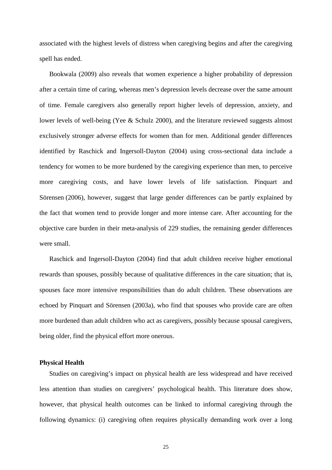associated with the highest levels of distress when caregiving begins and after the caregiving spell has ended.

Bookwala (2009) also reveals that women experience a higher probability of depression after a certain time of caring, whereas men's depression levels decrease over the same amount of time. Female caregivers also generally report higher levels of depression, anxiety, and lower levels of well-being (Yee & Schulz 2000), and the literature reviewed suggests almost exclusively stronger adverse effects for women than for men. Additional gender differences identified by Raschick and Ingersoll-Dayton (2004) using cross-sectional data include a tendency for women to be more burdened by the caregiving experience than men, to perceive more caregiving costs, and have lower levels of life satisfaction. Pinquart and Sörensen (2006), however, suggest that large gender differences can be partly explained by the fact that women tend to provide longer and more intense care. After accounting for the objective care burden in their meta-analysis of 229 studies, the remaining gender differences were small

Raschick and Ingersoll-Dayton (2004) find that adult children receive higher emotional rewards than spouses, possibly because of qualitative differences in the care situation; that is, spouses face more intensive responsibilities than do adult children. These observations are echoed by Pinquart and Sörensen (2003a), who find that spouses who provide care are often more burdened than adult children who act as caregivers, possibly because spousal caregivers, being older, find the physical effort more onerous.

#### **Physical Health**

Studies on caregiving's impact on physical health are less widespread and have received less attention than studies on caregivers' psychological health. This literature does show, however, that physical health outcomes can be linked to informal caregiving through the following dynamics: (i) caregiving often requires physically demanding work over a long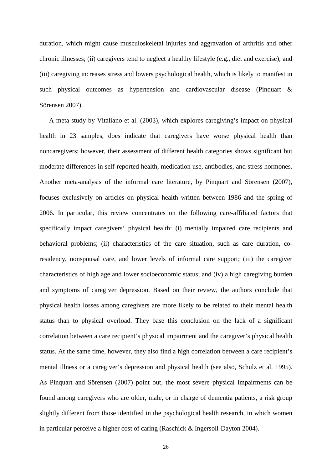duration, which might cause musculoskeletal injuries and aggravation of arthritis and other chronic illnesses; (ii) caregivers tend to neglect a healthy lifestyle (e.g., diet and exercise); and (iii) caregiving increases stress and lowers psychological health, which is likely to manifest in such physical outcomes as hypertension and cardiovascular disease (Pinquart & Sörensen 2007).

A meta-study by Vitaliano et al. (2003), which explores caregiving's impact on physical health in 23 samples, does indicate that caregivers have worse physical health than noncaregivers; however, their assessment of different health categories shows significant but moderate differences in self-reported health, medication use, antibodies, and stress hormones. Another meta-analysis of the informal care literature, by Pinquart and Sörensen (2007), focuses exclusively on articles on physical health written between 1986 and the spring of 2006. In particular, this review concentrates on the following care-affiliated factors that specifically impact caregivers' physical health: (i) mentally impaired care recipients and behavioral problems; (ii) characteristics of the care situation, such as care duration, coresidency, nonspousal care, and lower levels of informal care support; (iii) the caregiver characteristics of high age and lower socioeconomic status; and (iv) a high caregiving burden and symptoms of caregiver depression. Based on their review, the authors conclude that physical health losses among caregivers are more likely to be related to their mental health status than to physical overload. They base this conclusion on the lack of a significant correlation between a care recipient's physical impairment and the caregiver's physical health status. At the same time, however, they also find a high correlation between a care recipient's mental illness or a caregiver's depression and physical health (see also, Schulz et al. 1995). As Pinquart and Sörensen (2007) point out, the most severe physical impairments can be found among caregivers who are older, male, or in charge of dementia patients, a risk group slightly different from those identified in the psychological health research, in which women in particular perceive a higher cost of caring (Raschick & Ingersoll-Dayton 2004).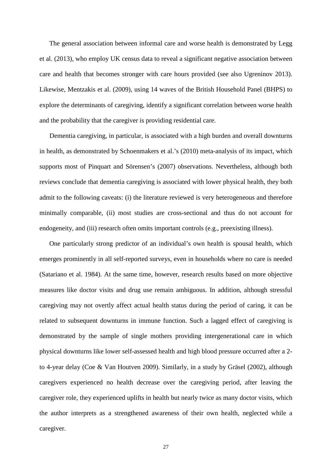The general association between informal care and worse health is demonstrated by Legg et al. (2013), who employ UK census data to reveal a significant negative association between care and health that becomes stronger with care hours provided (see also Ugreninov 2013). Likewise, Mentzakis et al. (2009), using 14 waves of the British Household Panel (BHPS) to explore the determinants of caregiving, identify a significant correlation between worse health and the probability that the caregiver is providing residential care.

Dementia caregiving, in particular, is associated with a high burden and overall downturns in health, as demonstrated by Schoenmakers et al.'s (2010) meta-analysis of its impact, which supports most of Pinquart and Sörensen's (2007) observations. Nevertheless, although both reviews conclude that dementia caregiving is associated with lower physical health, they both admit to the following caveats: (i) the literature reviewed is very heterogeneous and therefore minimally comparable, (ii) most studies are cross-sectional and thus do not account for endogeneity, and (iii) research often omits important controls (e.g., preexisting illness).

One particularly strong predictor of an individual's own health is spousal health, which emerges prominently in all self-reported surveys, even in households where no care is needed (Satariano et al. 1984). At the same time, however, research results based on more objective measures like doctor visits and drug use remain ambiguous. In addition, although stressful caregiving may not overtly affect actual health status during the period of caring, it can be related to subsequent downturns in immune function. Such a lagged effect of caregiving is demonstrated by the sample of single mothers providing intergenerational care in which physical downturns like lower self-assessed health and high blood pressure occurred after a 2 to 4-year delay (Coe & Van Houtven 2009). Similarly, in a study by Gräsel (2002), although caregivers experienced no health decrease over the caregiving period, after leaving the caregiver role, they experienced uplifts in health but nearly twice as many doctor visits, which the author interprets as a strengthened awareness of their own health, neglected while a caregiver.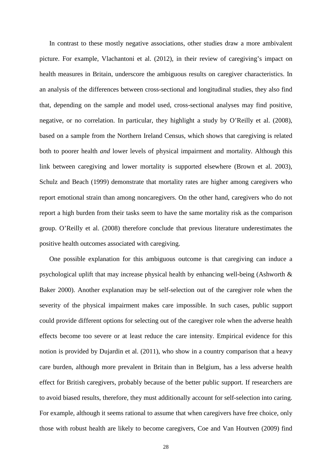In contrast to these mostly negative associations, other studies draw a more ambivalent picture. For example, Vlachantoni et al. (2012), in their review of caregiving's impact on health measures in Britain, underscore the ambiguous results on caregiver characteristics. In an analysis of the differences between cross-sectional and longitudinal studies, they also find that, depending on the sample and model used, cross-sectional analyses may find positive, negative, or no correlation. In particular, they highlight a study by O'Reilly et al. (2008), based on a sample from the Northern Ireland Census, which shows that caregiving is related both to poorer health *and* lower levels of physical impairment and mortality. Although this link between caregiving and lower mortality is supported elsewhere (Brown et al. 2003), Schulz and Beach (1999) demonstrate that mortality rates are higher among caregivers who report emotional strain than among noncaregivers. On the other hand, caregivers who do not report a high burden from their tasks seem to have the same mortality risk as the comparison group. O'Reilly et al. (2008) therefore conclude that previous literature underestimates the positive health outcomes associated with caregiving.

One possible explanation for this ambiguous outcome is that caregiving can induce a psychological uplift that may increase physical health by enhancing well-being (Ashworth & Baker 2000). Another explanation may be self-selection out of the caregiver role when the severity of the physical impairment makes care impossible. In such cases, public support could provide different options for selecting out of the caregiver role when the adverse health effects become too severe or at least reduce the care intensity. Empirical evidence for this notion is provided by Dujardin et al. (2011), who show in a country comparison that a heavy care burden, although more prevalent in Britain than in Belgium, has a less adverse health effect for British caregivers, probably because of the better public support. If researchers are to avoid biased results, therefore, they must additionally account for self-selection into caring. For example, although it seems rational to assume that when caregivers have free choice, only those with robust health are likely to become caregivers, Coe and Van Houtven (2009) find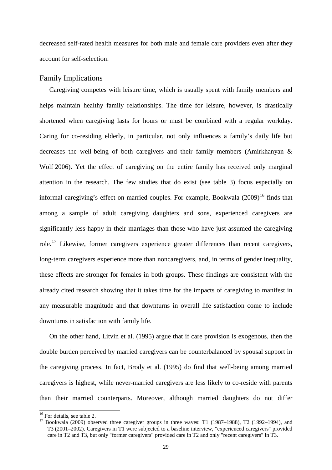decreased self-rated health measures for both male and female care providers even after they account for self-selection.

#### Family Implications

Caregiving competes with leisure time, which is usually spent with family members and helps maintain healthy family relationships. The time for leisure, however, is drastically shortened when caregiving lasts for hours or must be combined with a regular workday. Caring for co-residing elderly, in particular, not only influences a family's daily life but decreases the well-being of both caregivers and their family members (Amirkhanyan & Wolf 2006). Yet the effect of caregiving on the entire family has received only marginal attention in the research. The few studies that do exist (see table 3) focus especially on informal caregiving's effect on married couples. For example, Bookwala  $(2009)^{16}$  $(2009)^{16}$  $(2009)^{16}$  finds that among a sample of adult caregiving daughters and sons, experienced caregivers are significantly less happy in their marriages than those who have just assumed the caregiving role.<sup>[17](#page-29-0)</sup> Likewise, former caregivers experience greater differences than recent caregivers, long-term caregivers experience more than noncaregivers, and, in terms of gender inequality, these effects are stronger for females in both groups. These findings are consistent with the already cited research showing that it takes time for the impacts of caregiving to manifest in any measurable magnitude and that downturns in overall life satisfaction come to include downturns in satisfaction with family life.

On the other hand, Litvin et al. (1995) argue that if care provision is exogenous, then the double burden perceived by married caregivers can be counterbalanced by spousal support in the caregiving process. In fact, Brody et al. (1995) do find that well-being among married caregivers is highest, while never-married caregivers are less likely to co-reside with parents than their married counterparts. Moreover, although married daughters do not differ

<span id="page-29-0"></span>

<sup>&</sup>lt;sup>16</sup> For details, see table 2.<br><sup>17</sup> Bookwala (2009) observed three caregiver groups in three waves: T1 (1987–1988), T2 (1992–1994), and T3 (2001–2002). Caregivers in T1 were subjected to a baseline interview, "experienced caregivers" provided care in T2 and T3, but only "former caregivers" provided care in T2 and only "recent caregivers" in T3.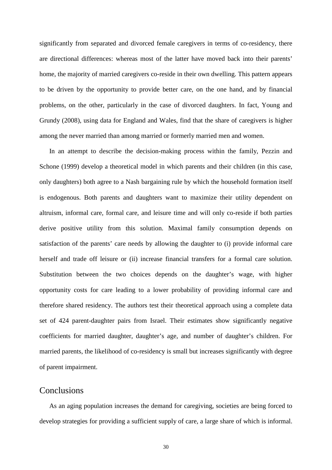significantly from separated and divorced female caregivers in terms of co-residency, there are directional differences: whereas most of the latter have moved back into their parents' home, the majority of married caregivers co-reside in their own dwelling. This pattern appears to be driven by the opportunity to provide better care, on the one hand, and by financial problems, on the other, particularly in the case of divorced daughters. In fact, Young and Grundy (2008), using data for England and Wales, find that the share of caregivers is higher among the never married than among married or formerly married men and women.

In an attempt to describe the decision-making process within the family, Pezzin and Schone (1999) develop a theoretical model in which parents and their children (in this case, only daughters) both agree to a Nash bargaining rule by which the household formation itself is endogenous. Both parents and daughters want to maximize their utility dependent on altruism, informal care, formal care, and leisure time and will only co-reside if both parties derive positive utility from this solution. Maximal family consumption depends on satisfaction of the parents' care needs by allowing the daughter to (i) provide informal care herself and trade off leisure or (ii) increase financial transfers for a formal care solution. Substitution between the two choices depends on the daughter's wage, with higher opportunity costs for care leading to a lower probability of providing informal care and therefore shared residency. The authors test their theoretical approach using a complete data set of 424 parent-daughter pairs from Israel. Their estimates show significantly negative coefficients for married daughter, daughter's age, and number of daughter's children. For married parents, the likelihood of co-residency is small but increases significantly with degree of parent impairment.

## Conclusions

As an aging population increases the demand for caregiving, societies are being forced to develop strategies for providing a sufficient supply of care, a large share of which is informal.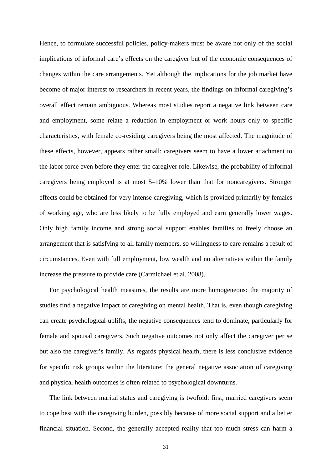Hence, to formulate successful policies, policy-makers must be aware not only of the social implications of informal care's effects on the caregiver but of the economic consequences of changes within the care arrangements. Yet although the implications for the job market have become of major interest to researchers in recent years, the findings on informal caregiving's overall effect remain ambiguous. Whereas most studies report a negative link between care and employment, some relate a reduction in employment or work hours only to specific characteristics, with female co-residing caregivers being the most affected. The magnitude of these effects, however, appears rather small: caregivers seem to have a lower attachment to the labor force even before they enter the caregiver role. Likewise, the probability of informal caregivers being employed is at most 5–10% lower than that for noncaregivers. Stronger effects could be obtained for very intense caregiving, which is provided primarily by females of working age, who are less likely to be fully employed and earn generally lower wages. Only high family income and strong social support enables families to freely choose an arrangement that is satisfying to all family members, so willingness to care remains a result of circumstances. Even with full employment, low wealth and no alternatives within the family increase the pressure to provide care (Carmichael et al. 2008).

For psychological health measures, the results are more homogeneous: the majority of studies find a negative impact of caregiving on mental health. That is, even though caregiving can create psychological uplifts, the negative consequences tend to dominate, particularly for female and spousal caregivers. Such negative outcomes not only affect the caregiver per se but also the caregiver's family. As regards physical health, there is less conclusive evidence for specific risk groups within the literature: the general negative association of caregiving and physical health outcomes is often related to psychological downturns.

The link between marital status and caregiving is twofold: first, married caregivers seem to cope best with the caregiving burden, possibly because of more social support and a better financial situation. Second, the generally accepted reality that too much stress can harm a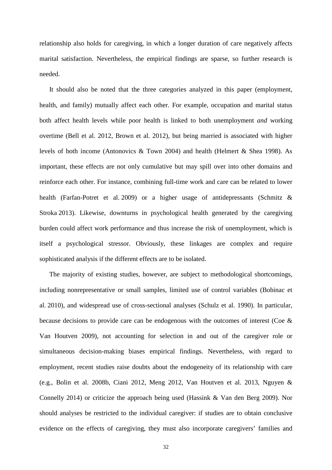relationship also holds for caregiving, in which a longer duration of care negatively affects marital satisfaction. Nevertheless, the empirical findings are sparse, so further research is needed.

It should also be noted that the three categories analyzed in this paper (employment, health, and family) mutually affect each other. For example, occupation and marital status both affect health levels while poor health is linked to both unemployment *and* working overtime (Bell et al. 2012, Brown et al. 2012), but being married is associated with higher levels of both income (Antonovics & Town 2004) and health (Helmert & Shea 1998). As important, these effects are not only cumulative but may spill over into other domains and reinforce each other. For instance, combining full-time work and care can be related to lower health (Farfan-Potret et al. 2009) or a higher usage of antidepressants (Schmitz & Stroka 2013). Likewise, downturns in psychological health generated by the caregiving burden could affect work performance and thus increase the risk of unemployment, which is itself a psychological stressor. Obviously, these linkages are complex and require sophisticated analysis if the different effects are to be isolated.

The majority of existing studies, however, are subject to methodological shortcomings, including nonrepresentative or small samples, limited use of control variables (Bobinac et al. 2010), and widespread use of cross-sectional analyses (Schulz et al. 1990). In particular, because decisions to provide care can be endogenous with the outcomes of interest (Coe & Van Houtven 2009), not accounting for selection in and out of the caregiver role or simultaneous decision-making biases empirical findings. Nevertheless, with regard to employment, recent studies raise doubts about the endogeneity of its relationship with care (e.g., Bolin et al. 2008b, Ciani 2012, Meng 2012, Van Houtven et al. 2013, Nguyen & Connelly 2014) or criticize the approach being used (Hassink & Van den Berg 2009). Nor should analyses be restricted to the individual caregiver: if studies are to obtain conclusive evidence on the effects of caregiving, they must also incorporate caregivers' families and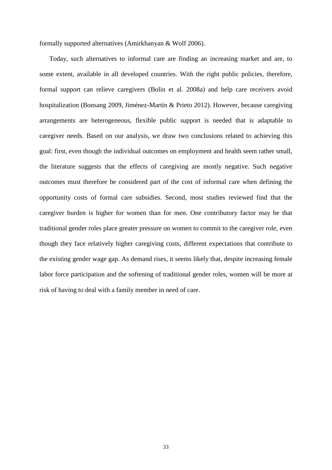formally supported alternatives (Amirkhanyan & Wolf 2006).

Today, such alternatives to informal care are finding an increasing market and are, to some extent, available in all developed countries. With the right public policies, therefore, formal support can relieve caregivers (Bolin et al. 2008a) and help care receivers avoid hospitalization (Bonsang 2009, Jiménez-Martín & Prieto 2012). However, because caregiving arrangements are heterogeneous, flexible public support is needed that is adaptable to caregiver needs. Based on our analysis, we draw two conclusions related to achieving this goal: first, even though the individual outcomes on employment and health seem rather small, the literature suggests that the effects of caregiving are mostly negative. Such negative outcomes must therefore be considered part of the cost of informal care when defining the opportunity costs of formal care subsidies. Second, most studies reviewed find that the caregiver burden is higher for women than for men. One contributory factor may be that traditional gender roles place greater pressure on women to commit to the caregiver role, even though they face relatively higher caregiving costs, different expectations that contribute to the existing gender wage gap. As demand rises, it seems likely that, despite increasing female labor force participation and the softening of traditional gender roles, women will be more at risk of having to deal with a family member in need of care.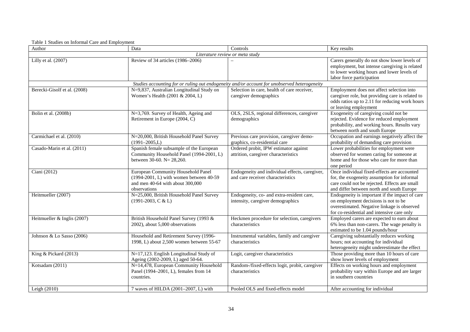Table 1 Studies on Informal Care and Employment

| Author                          | Data                                                                                                                              | Controls                                                                                     | Key results                                                                                                                                                                              |
|---------------------------------|-----------------------------------------------------------------------------------------------------------------------------------|----------------------------------------------------------------------------------------------|------------------------------------------------------------------------------------------------------------------------------------------------------------------------------------------|
| Literature review or meta study |                                                                                                                                   |                                                                                              |                                                                                                                                                                                          |
| Lilly et al. (2007)             | Review of 34 articles (1986-2006)                                                                                                 |                                                                                              | Carers generally do not show lower levels of<br>employment, but intense caregiving is related<br>to lower working hours and lower levels of<br>labor force participation                 |
|                                 |                                                                                                                                   | Studies accounting for or ruling out endogeneity and/or account for unobserved heterogeneity |                                                                                                                                                                                          |
| Berecki-Gisolf et al. (2008)    | N=9,837, Australian Longitudinal Study on<br>Women's Health (2001 & 2004, L)                                                      | Selection in care, health of care receiver,<br>caregiver demographics                        | Employment does not affect selection into<br>caregiver role, but providing care is related to<br>odds ratios up to 2.11 for reducing work hours<br>or leaving employment                 |
| Bolin et al. (2008b)            | N=3,769. Survey of Health, Ageing and<br>Retirement in Europe (2004, C)                                                           | OLS, 2SLS, regional differences, caregiver<br>demographics                                   | Exogeneity of caregiving could not be<br>rejected. Evidence for reduced employment<br>probability, and working hours. Results vary<br>between north and south Europe                     |
| Carmichael et al. (2010)        | N=20,000, British Household Panel Survey<br>$(1991 - 2005,L)$                                                                     | Previous care provision, caregiver demo-<br>graphics, co-residential care                    | Occupation and earnings negatively affect the<br>probability of demanding care provision                                                                                                 |
| Casado-Marin et al. (2011)      | Spanish female subsample of the European<br>Community Household Panel (1994-2001, L)<br>between 30-60. $N = 28,260$ .             | Ordered probit, IPW estimator against<br>attrition, caregiver characteristics                | Lower probabilities for employment were<br>observed for women caring for someone at<br>home and for those who care for more than<br>one period                                           |
| Ciani (2012)                    | European Community Household Panel<br>(1994-2001, L) with women between 40-59<br>and men 40-64 with about 300,000<br>observations | Endogeneity and individual effects, caregiver,<br>and care receiver characteristics          | Once individual fixed-effects are accounted<br>for, the exogeneity assumption for informal<br>care could not be rejected. Effects are small<br>and differ between north and south Europe |
| Heitmueller (2007)              | N=25,000, British Household Panel Survey<br>$(1991-2003, C & L)$                                                                  | Endogeneity, co- and extra-resident care,<br>intensity, caregiver demographics               | Endogeneity is important if the impact of care<br>on employment decisions is not to be<br>overestimated. Negative linkage is observed<br>for co-residential and intensive care only      |
| Heitmueller & Inglis (2007)     | British Household Panel Survey (1993 &<br>2002), about 5,000 observations                                                         | Heckmen procedure for selection, caregivers<br>characteristics                               | Employed carers are expected to earn about<br>6% less than non-carers. The wage penalty is<br>estimated to be 1.04 pounds/hour                                                           |
| Johnson & Lo Sasso (2006)       | Household and Retirement Survey (1996-<br>1998, L) about 2,500 women between 55-67                                                | Instrumental variables, family and caregiver<br>characteristics                              | Caregiving substantially reduces working<br>hours; not accounting for individual<br>heterogeneity might underestimate the effect                                                         |
| King & Pickard (2013)           | N=17,123. English Longitudinal Study of<br>Ageing (2002-2009, L) aged 50-64.                                                      | Logit, caregiver characteristics                                                             | Those providing more than 10 hours of care<br>show lower levels of employment                                                                                                            |
| Kotsadam (2011)                 | N=14,478, European Community Household<br>Panel (1994-2001, L), females from 14<br>countries.                                     | Random-/fixed-effects logit, probit, caregiver<br>characteristics                            | Effects on working hours and employment<br>probability vary within Europe and are larger<br>in southern countries                                                                        |
| Leigh $(2010)$                  | 7 waves of HILDA (2001-2007, L) with                                                                                              | Pooled OLS and fixed-effects model                                                           | After accounting for individual                                                                                                                                                          |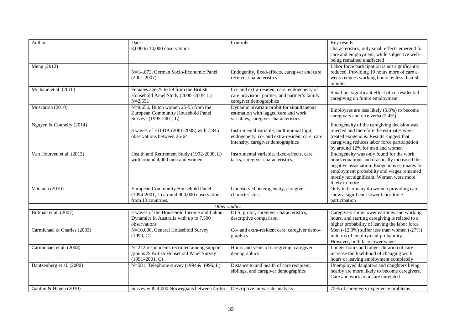| Author                      | Data                                                                                                     | Controls                                                                                                                         | Key results                                                                                                                                                                                                                                           |
|-----------------------------|----------------------------------------------------------------------------------------------------------|----------------------------------------------------------------------------------------------------------------------------------|-------------------------------------------------------------------------------------------------------------------------------------------------------------------------------------------------------------------------------------------------------|
|                             | 8,000 to 10,000 observations                                                                             |                                                                                                                                  | characteristics, only small effects emerged for<br>care and employment, while subjective well-<br>being remained unaffected                                                                                                                           |
| Meng (2012)                 | N=14,873, German Socio-Economic Panel<br>$(2001 - 2007)$                                                 | Endogenity, fixed-effects, caregiver and care<br>receiver characteristics                                                        | Labor force participation is not significantly<br>reduced. Providing 10 hours more of care a<br>week reduces working hours by less than 50<br>minutes                                                                                                 |
| Michaud et al. (2010)       | Females age 25 to 59 from the British<br>Household Panel Study (2000 - 2005, L)<br>$N = 2,551$           | Co- and extra-resident care, endogeneity of<br>care provision, partner, and partner's family,<br>caregiver demographics          | Small but significant effect of co-residential<br>caregiving on future employment                                                                                                                                                                     |
| Moscarola (2010)            | $N=9,656$ , Dutch women 25-55 from the<br>European Community Household Panel<br>Surveys (1995-2001, L)   | Dynamic bivariate probit for simultaneous<br>estimation with lagged care and work<br>variables, caregiver characteristics        | Employees are less likely (5.8%) to become<br>caregivers and vice versa (2.4%).                                                                                                                                                                       |
| Nguyen & Connelly (2014)    | 8 waves of HILDA (2001-2008) with 7,845<br>observations between 25-64                                    | Instrumental variable, multinomial logit,<br>endogeneity, co- and extra-resident care, care<br>intensity, caregiver demographics | Endogeneity of the caregiving decision was<br>rejected and therefore the estimates were<br>treated exogenous. Results suggest that<br>caregiving reduces labor force participation<br>by around 12% for men and women                                 |
| Van Houtven et al. (2013)   | Health and Retirement Study (1992-2008, L)<br>with around 4,000 men and women.                           | Instrumental variable, fixed-effects, care<br>tasks, caregiver characteristics.                                                  | Endogeneity was only found for the work<br>hours equations and drastically increased the<br>negative association. Exogenous estimates for<br>employment probability and wages remained<br>mostly not significant. Women were more<br>likely to retire |
| Viitanen (2010)             | European Community Household Panel<br>(1994-2001, L) around 900,000 observations<br>from 13 countries.   | Unobserved heterogeneity, caregiver<br>characteristics                                                                           | Only in Germany do women providing care<br>show a significant lower labor force<br>participation                                                                                                                                                      |
|                             |                                                                                                          | Other studies                                                                                                                    |                                                                                                                                                                                                                                                       |
| Bittman et al. (2007)       | 4 waves of the Household Income and Labour<br>Dynamics in Australia with up to 7,500<br>observations     | OLS, probit, caregiver characteristics,<br>descriptive comparison                                                                | Caregivers show lower earnings and working<br>hours, and starting caregiving is related to a<br>higher probability of leaving the labor force                                                                                                         |
| Carmichael & Charles (2003) | N=10,000, General Household Survey<br>(1990, C)                                                          | Co- and extra-resident care, caregiver demo-<br>graphics                                                                         | Men $(-12.9\%)$ suffer less than women $(-27\%)$<br>in terms of employment probability.<br>However, both face lower wages                                                                                                                             |
| Carmichael et al. (2008)    | N=272 respondents recruited among support<br>groups & British Household Panel Survey<br>$(1991-2001, C)$ | Hours and years of caregiving, caregiver<br>demographics                                                                         | Longer hours and longer duration of care<br>increase the likelihood of changing work<br>hours or leaving employment completely                                                                                                                        |
| Dautzenberg et al. (2000)   | N=581, Telephone survey (1994 & 1996, L)                                                                 | Distance to and health of care recipient,<br>siblings, and caregiver demographics                                                | Unemployed daughters and daughters living<br>nearby are more likely to become caregivers.<br>Care and work hours are unrelated                                                                                                                        |
| Gautun & Hagen (2010)       | Survey with 4,000 Norwegians between $45-65$ Descriptive univariate analysis                             |                                                                                                                                  | 75% of caregivers experience problems                                                                                                                                                                                                                 |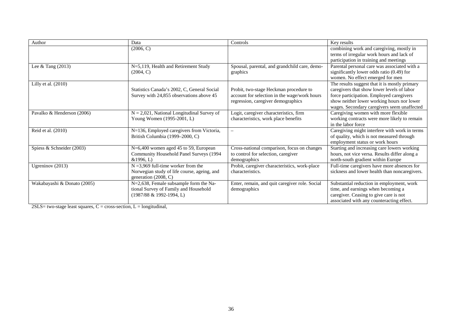| Author                      | Data                                          | Controls                                       | Key results                                   |
|-----------------------------|-----------------------------------------------|------------------------------------------------|-----------------------------------------------|
|                             | (2006, C)                                     |                                                | combining work and caregiving, mostly in      |
|                             |                                               |                                                | terms of irregular work hours and lack of     |
|                             |                                               |                                                | participation in training and meetings        |
| Lee & Tang (2013)           | N=5,119, Health and Retirement Study          | Spousal, parental, and grandchild care, demo-  | Parental personal care was associated with a  |
|                             | (2004, C)                                     | graphics                                       | significantly lower odds ratio $(0.49)$ for   |
|                             |                                               |                                                | women. No effect emerged for men              |
| Lilly et al. $(2010)$       |                                               |                                                | The results suggest that it is mostly primary |
|                             | Statistics Canada's 2002, C, General Social   | Probit, two-stage Heckman procedure to         | caregivers that show lower levels of labor    |
|                             | Survey with 24,855 observations above 45      | account for selection in the wage/work hours   | force participation. Employed caregivers      |
|                             |                                               | regression, caregiver demographics             | show neither lower working hours nor lower    |
|                             |                                               |                                                | wages. Secondary caregivers seem unaffected   |
| Pavalko & Henderson (2006)  | $N = 2,021$ , National Longitudinal Survey of | Logit, caregiver characteristics, firm         | Caregiving women with more flexible           |
|                             | Young Women (1995-2001, L)                    | characteristics, work place benefits           | working contracts were more likely to remain  |
|                             |                                               |                                                | in the labor force                            |
| Reid et al. (2010)          | N=136, Employed caregivers from Victoria,     | $\overline{\phantom{0}}$                       | Caregiving might interfere with work in terms |
|                             | British Columbia (1999-2000, C)               |                                                | of quality, which is not measured through     |
|                             |                                               |                                                | employment status or work hours               |
| Spiess & Schneider (2003)   | N=6,400 women aged 45 to 59, European         | Cross-national comparison, focus on changes    | Starting and increasing care lowers working   |
|                             | Community Household Panel Surveys (1994       | to control for selection, caregiver            | hours, not vice versa. Results differ along a |
|                             | &1996, L                                      | demographics                                   | north-south gradient within Europe            |
| Ugreninov (2013)            | $N = 3,969$ full-time worker from the         | Probit, caregiver characteristics, work-place  | Full-time caregivers have more absences for   |
|                             | Norwegian study of life course, ageing, and   | characteristics.                               | sickness and lower health than noncaregivers. |
|                             | generation $(2008, C)$                        |                                                |                                               |
| Wakabayashi & Donato (2005) | N=2,638, Female subsample form the Na-        | Enter, remain, and quit caregiver role. Social | Substantial reduction in employment, work     |
|                             | tional Survey of Family and Household         | demographics                                   | time, and earnings when becoming a            |
|                             | (1987/88 & 1992-1994, L)                      |                                                | caregiver. Ceasing to give care is not        |
|                             |                                               |                                                | associated with any counteracting effect.     |

 $2SLS = two-stage least squares, C = cross-section, L = longitudinal,$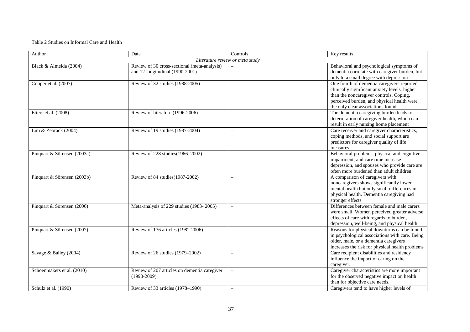#### Table 2 Studies on Informal Care and Health

| Author                      | Data                                                                            | Controls                        | Key results                                                                                                                                                                                                               |
|-----------------------------|---------------------------------------------------------------------------------|---------------------------------|---------------------------------------------------------------------------------------------------------------------------------------------------------------------------------------------------------------------------|
|                             |                                                                                 | Literature review or meta study |                                                                                                                                                                                                                           |
| Black & Almeida (2004)      | Review of 30 cross-sectional (meta-analysis)<br>and 12 longitudinal (1990-2001) |                                 | Behavioral and psychological symptoms of<br>dementia correlate with caregiver burden, but<br>only to a small degree with depression                                                                                       |
| Cooper et al. (2007)        | Review of 32 studies (1988-2005)                                                | $\overline{\phantom{0}}$        | One fourth of dementia caregivers reported<br>clinically significant anxiety levels, higher<br>than the noncaregiver controls. Coping,<br>perceived burden, and physical health were<br>the only clear associations found |
| Etters et al. (2008)        | Review of literature (1996-2006)                                                | $\overline{\phantom{0}}$        | The dementia caregiving burden leads to<br>deterioration of caregiver health, which can<br>result in early nursing home placement                                                                                         |
| Lim & Zebrack (2004)        | Review of 19 studies (1987-2004)                                                | $\equiv$                        | Care receiver and caregiver characteristics,<br>coping methods, and social support are<br>predictors for caregiver quality of life<br>measures                                                                            |
| Pinquart & Sörensen (2003a) | Review of 228 studies (1966-2002)                                               | $\qquad \qquad -$               | Behavioral problems, physical and cognitive<br>impairment, and care time increase<br>depression, and spouses who provide care are<br>often more burdened than adult children                                              |
| Pinquart & Sörensen (2003b) | Review of 84 studies (1987-2002)                                                | $\qquad \qquad -$               | A comparison of caregivers with<br>noncaregivers shows significantly lower<br>mental health but only small differences in<br>physical health. Dementia caregiving had<br>stronger effects                                 |
| Pinquart & Sörensen (2006)  | Meta-analysis of 229 studies (1983-2005)                                        | $\overline{\phantom{0}}$        | Differences between female and male carers<br>were small. Women perceived greater adverse<br>effects of care with regards to burden,<br>depression, well-being, and physical health                                       |
| Pinquart & Sörensen (2007)  | Review of 176 articles (1982-2006)                                              |                                 | Reasons for physical downturns can be found<br>in psychological associations with care. Being<br>older, male, or a dementia caregivers<br>increases the risk for physical health problems                                 |
| Savage & Bailey (2004)      | Review of 26 studies (1979–2002)                                                | $\overline{\phantom{0}}$        | Care recipient disabilities and residency<br>influence the impact of caring on the<br>caregiver.                                                                                                                          |
| Schoenmakers et al. (2010)  | Review of 207 articles on dementia caregiver<br>$(1990-2009)$                   | $\equiv$                        | Caregiver characteristics are more important<br>for the observed negative impact on health<br>than for objective care needs.                                                                                              |
| Schulz et al. (1990)        | Review of 33 articles (1978-1990)                                               | $\equiv$                        | Caregivers tend to have higher levels of                                                                                                                                                                                  |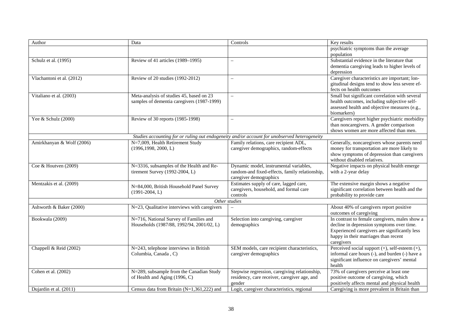| Author                    | Data                                         | Controls                                                                                     | Key results                                    |
|---------------------------|----------------------------------------------|----------------------------------------------------------------------------------------------|------------------------------------------------|
|                           |                                              |                                                                                              | psychiatric symptoms than the average          |
|                           |                                              |                                                                                              | population                                     |
| Schulz et al. (1995)      | Review of 41 articles (1989–1995)            | $\overline{\phantom{m}}$                                                                     | Substantial evidence in the literature that    |
|                           |                                              |                                                                                              | dementia caregiving leads to higher levels of  |
|                           |                                              |                                                                                              | depression                                     |
| Vlachantoni et al. (2012) | Review of 20 studies (1992-2012)             | $\equiv$                                                                                     | Caregiver characteristics are important; lon-  |
|                           |                                              |                                                                                              | gitudinal designs tend to show less severe ef- |
|                           |                                              |                                                                                              | fects on health outcomes                       |
| Vitaliano et al. (2003)   | Meta-analysis of studies 45, based on 23     | L.                                                                                           | Small but significant correlation with several |
|                           | samples of dementia caregivers (1987-1999)   |                                                                                              | health outcomes, including subjective self-    |
|                           |                                              |                                                                                              | assessed health and objective measures (e.g.,  |
|                           |                                              |                                                                                              | biomarkers)                                    |
| Yee & Schulz (2000)       | Review of 30 reports (1985-1998)             | L.                                                                                           | Caregivers report higher psychiatric morbidity |
|                           |                                              |                                                                                              | than noncaregivers. A gender comparison        |
|                           |                                              |                                                                                              | shows women are more affected than men.        |
|                           |                                              | Studies accounting for or ruling out endogeneity and/or account for unobserved heterogeneity |                                                |
| Amirkhanyan & Wolf (2006) | N=7,009, Health Retirement Study             | Family relations, care recipient ADL,                                                        | Generally, noncaregivers whose parents need    |
|                           | (1996, 1998, 2000, L)                        | caregiver demographics, random-effects                                                       | money for transportation are more likely to    |
|                           |                                              |                                                                                              | show symptoms of depression than caregivers    |
|                           |                                              |                                                                                              | without disabled relatives.                    |
| Coe & Houtven (2009)      | N=3316, subsamples of the Health and Re-     | Dynamic model, instrumental variables,                                                       | Negative impacts on physical health emerge     |
|                           | tirement Survey (1992-2004, L)               | random-and fixed-effects, family relationship,                                               | with a 2-year delay                            |
|                           |                                              | caregiver demographics                                                                       |                                                |
| Mentzakis et al. (2009)   | N=84,000, British Household Panel Survey     | Estimates supply of care, lagged care,                                                       | The extensive margin shows a negative          |
|                           | $(1991 - 2004, L)$                           | caregivers, household, and formal care                                                       | significant correlation between health and the |
|                           |                                              | controls                                                                                     | probability to provide care                    |
|                           |                                              | Other studies                                                                                |                                                |
| Ashworth & Baker (2000)   | N=23, Qualitative interviews with caregivers |                                                                                              | About 40% of caregivers report positive        |
|                           |                                              |                                                                                              | outcomes of caregiving                         |
| Bookwala (2009)           | N=716, National Survey of Families and       | Selection into caregiving, caregiver                                                         | In contrast to female caregivers, males show a |
|                           | Households (1987/88, 1992/94, 2001/02, L)    | demographics                                                                                 | decline in depression symptoms over time.      |
|                           |                                              |                                                                                              | Experienced caregivers are significantly less  |
|                           |                                              |                                                                                              | happy in their marriages than recent           |
|                           |                                              |                                                                                              | caregivers                                     |
| Chappell & Reid (2002)    | N=243, telephone interviews in British       | SEM models, care recipient characteristics,                                                  | Perceived social support (+), self-esteem (+), |
|                           | Columbia, Canada, C)                         | caregiver demographics                                                                       | informal care hours (-), and burden (-) have a |
|                           |                                              |                                                                                              | significant influence on caregivers' mental    |
|                           |                                              |                                                                                              | health                                         |
| Cohen et al. (2002)       | N=289, subsample from the Canadian Study     | Stepwise regression, caregiving relationship,                                                | 73% of caregivers perceive at least one        |
|                           | of Health and Aging (1996, C)                | residency, care receiver, caregiver age, and                                                 | positive outcome of caregiving, which          |
|                           |                                              | gender                                                                                       | positively affects mental and physical health  |
| Duiardin et al. (2011)    | Census data from Britain $(N=1,361,222)$ and | Logit, caregiver characteristics, regional                                                   | Caregiving is more prevalent in Britain than   |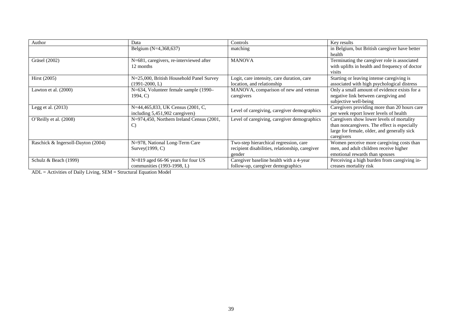| Author                             | Data                                                                 | Controls                                                                                            | Key results                                                                                                                                            |
|------------------------------------|----------------------------------------------------------------------|-----------------------------------------------------------------------------------------------------|--------------------------------------------------------------------------------------------------------------------------------------------------------|
|                                    | Belgium (N=4,368,637)                                                | matching                                                                                            | in Belgium, but British caregiver have better<br>health                                                                                                |
| Gräsel (2002)                      | N=681, caregivers, re-interviewed after<br>12 months                 | <b>MANOVA</b>                                                                                       | Terminating the caregiver role is associated<br>with uplifts in health and frequency of doctor<br>visits                                               |
| Hirst (2005)                       | N=25,000, British Household Panel Survey<br>$(1991-2000, L)$         | Logit, care intensity, care duration, care<br>location, and relationship                            | Starting or leaving intense caregiving is<br>associated with high psychological distress                                                               |
| Lawton et al. $(2000)$             | N=634, Volunteer female sample (1990–<br>1994, $C$ )                 | MANOVA, comparison of new and veteran<br>caregivers                                                 | Only a small amount of evidence exists for a<br>negative link between caregiving and<br>subjective well-being                                          |
| Legg et al. (2013)                 | N=44,465,833, UK Census (2001, C,<br>including 5,451,902 caregivers) | Level of caregiving, caregiver demographics                                                         | Caregivers providing more than 20 hours care<br>per week report lower levels of health                                                                 |
| O'Reilly et al. (2008)             | N=974,450, Northern Ireland Census (2001,<br>$\mathcal{C}$           | Level of caregiving, caregiver demographics                                                         | Caregivers show lower levels of mortality<br>than noncaregivers. The effect is especially<br>large for female, older, and generally sick<br>caregivers |
| Raschick & Ingersoll-Dayton (2004) | N=978, National Long-Term Care<br>Survey(1999, C)                    | Two-step hierarchical regression, care<br>recipient disabilities, relationship, caregiver<br>gender | Women perceive more caregiving costs than<br>men, and adult children receive higher<br>emotional rewards than spouses                                  |
| Schulz & Beach (1999)              | N=819 aged 66-96 years for four US<br>communities (1993-1998, L)     | Caregiver baseline health with a 4-year<br>follow-up, caregiver demographics                        | Perceiving a high burden from caregiving in-<br>creases mortality risk                                                                                 |

ADL = Activities of Daily Living, SEM = Structural Equation Model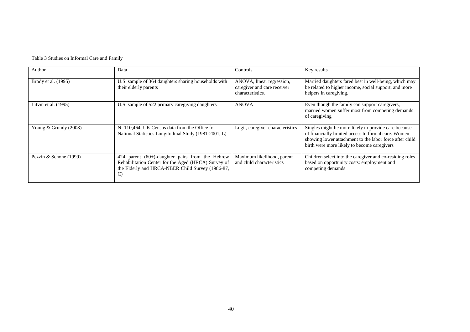#### Table 3 Studies on Informal Care and Family

| Author                 | Data                                                                                                                                                                | Controls                                                                     | Key results                                                                                                                                                                                                           |
|------------------------|---------------------------------------------------------------------------------------------------------------------------------------------------------------------|------------------------------------------------------------------------------|-----------------------------------------------------------------------------------------------------------------------------------------------------------------------------------------------------------------------|
| Brody et al. (1995)    | U.S. sample of 364 daughters sharing households with<br>their elderly parents                                                                                       | ANOVA, linear regression,<br>caregiver and care receiver<br>characteristics. | Married daughters fared best in well-being, which may<br>be related to higher income, social support, and more<br>helpers in caregiving.                                                                              |
| Litvin et al. $(1995)$ | U.S. sample of 522 primary caregiving daughters                                                                                                                     | <b>ANOVA</b>                                                                 | Even though the family can support caregivers,<br>married women suffer most from competing demands<br>of caregiving                                                                                                   |
| Young & Grundy (2008)  | $N=110,464$ , UK Census data from the Office for<br>National Statistics Longitudinal Study (1981-2001, L)                                                           | Logit, caregiver characteristics                                             | Singles might be more likely to provide care because<br>of financially limited access to formal care. Women<br>showing lower attachment to the labor force after child<br>birth were more likely to become caregivers |
| Pezzin & Schone (1999) | 424 parent $(60+)$ -daughter pairs from the Hebrew<br>Rehabilitation Center for the Aged (HRCA) Survey of<br>the Elderly and HRCA-NBER Child Survey (1986-87,<br>C) | Maximum likelihood, parent<br>and child characteristics                      | Children select into the caregiver and co-residing roles<br>based on opportunity costs: employment and<br>competing demands                                                                                           |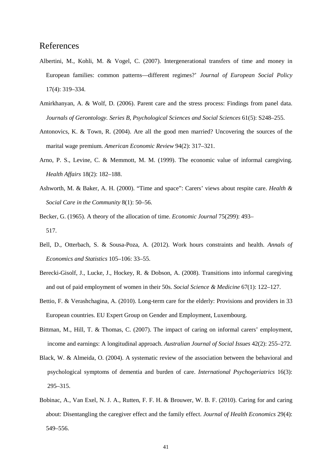### References

- Albertini, M., Kohli, M. & Vogel, C. (2007). Intergenerational transfers of time and money in European families: common patterns—different regimes?' *Journal of European Social Policy*  17(4): 319–334.
- Amirkhanyan, A. & Wolf, D. (2006). Parent care and the stress process: Findings from panel data. *Journals of Gerontology. Series B, Psychological Sciences and Social Sciences* 61(5): S248–255.
- Antonovics, K. & Town, R. (2004). Are all the good men married? Uncovering the sources of the marital wage premium. *American Economic Review* 94(2): 317–321.
- Arno, P. S., Levine, C. & Memmott, M. M. (1999). The economic value of informal caregiving. *Health Affairs* 18(2): 182–188.
- Ashworth, M. & Baker, A. H. (2000). "Time and space": Carers' views about respite care. *Health & Social Care in the Community* 8(1): 50–56.
- Becker, G. (1965). A theory of the allocation of time. *Economic Journal* 75(299): 493– 517.
- Bell, D., Otterbach, S. & Sousa-Poza, A. (2012). Work hours constraints and health. *Annals of Economics and Statistics* 105–106: 33–55.
- Berecki-Gisolf, J., Lucke, J., Hockey, R. & Dobson, A. (2008). Transitions into informal caregiving and out of paid employment of women in their 50s. *Social Science & Medicine* 67(1): 122–127.
- Bettio, F. & Verashchagina, A. (2010). Long-term care for the elderly: Provisions and providers in 33 European countries. EU Expert Group on Gender and Employment, Luxembourg.
- Bittman, M., Hill, T. & Thomas, C. (2007). The impact of caring on informal carers' employment, income and earnings: A longitudinal approach. *Australian Journal of Social Issues* 42(2): 255–272.
- Black, W. & Almeida, O. (2004). A systematic review of the association between the behavioral and psychological symptoms of dementia and burden of care. *International Psychogeriatrics* 16(3): 295–315.
- Bobinac, A., Van Exel, N. J. A., Rutten, F. F. H. & Brouwer, W. B. F. (2010). Caring for and caring about: Disentangling the caregiver effect and the family effect. *Journal of Health Economics* 29(4): 549–556.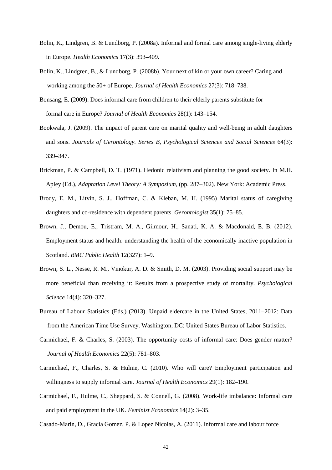- Bolin, K., Lindgren, B. & Lundborg, P. (2008a). Informal and formal care among single-living elderly in Europe. *Health Economics* 17(3): 393–409.
- Bolin, K., Lindgren, B., & Lundborg, P. (2008b). Your next of kin or your own career? Caring and working among the 50+ of Europe. *Journal of Health Economics* 27(3): 718–738.
- Bonsang, E. (2009). Does informal care from children to their elderly parents substitute for formal care in Europe? *Journal of Health Economics* 28(1): 143–154.
- Bookwala, J. (2009). The impact of parent care on marital quality and well-being in adult daughters and sons. *Journals of Gerontology. Series B, Psychological Sciences and Social Sciences* 64(3): 339–347.
- Brickman, P. & Campbell, D. T. (1971). Hedonic relativism and planning the good society. In M.H. Apley (Ed.), *Adaptation Level Theory: A Symposium,* (pp. 287–302). New York: Academic Press.
- Brody, E. M., Litvin, S. J., Hoffman, C. & Kleban, M. H. (1995) Marital status of caregiving daughters and co-residence with dependent parents. *Gerontologist* 35(1): 75–85.
- Brown, J., Demou, E., Tristram, M. A., Gilmour, H., Sanati, K. A. & Macdonald, E. B. (2012). Employment status and health: understanding the health of the economically inactive population in Scotland. *BMC Public Health* 12(327): 1–9.
- Brown, S. L., Nesse, R. M., Vinokur, A. D. & Smith, D. M. (2003). Providing social support may be more beneficial than receiving it: Results from a prospective study of mortality. *Psychological Science* 14(4): 320–327.
- Bureau of Labour Statistics (Eds.) (2013). Unpaid eldercare in the United States, 2011–2012: Data from the American Time Use Survey. Washington, DC: United States Bureau of Labor Statistics.
- Carmichael, F. & Charles, S. (2003). The opportunity costs of informal care: Does gender matter? *Journal of Health Economics* 22(5): 781–803.
- Carmichael, F., Charles, S. & Hulme, C. (2010). Who will care? Employment participation and willingness to supply informal care. *Journal of Health Economics* 29(1): 182–190.
- Carmichael, F., Hulme, C., Sheppard, S. & Connell, G. (2008). Work-life imbalance: Informal care and paid employment in the UK. *Feminist Economics* 14(2): 3–35.
- Casado-Marin, D., Gracia Gomez, P. & Lopez Nicolas, A. (2011). Informal care and labour force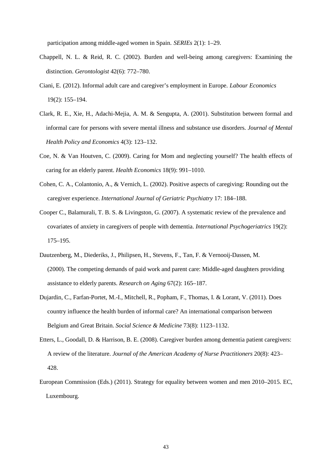participation among middle-aged women in Spain. *SERIEs* 2(1): 1–29.

- Chappell, N. L. & Reid, R. C. (2002). Burden and well-being among caregivers: Examining the distinction. *Gerontologist* 42(6): 772–780.
- Ciani, E. (2012). Informal adult care and caregiver's employment in Europe. *Labour Economics* 19(2): 155–194.
- Clark, R. E., Xie, H., Adachi-Mejia, A. M. & Sengupta, A. (2001). Substitution between formal and informal care for persons with severe mental illness and substance use disorders. *Journal of Mental Health Policy and Economics* 4(3): 123–132.
- Coe, N. & Van Houtven, C. (2009). Caring for Mom and neglecting yourself? The health effects of caring for an elderly parent. *Health Economics* 18(9): 991–1010.
- Cohen, C. A., Colantonio, A., & Vernich, L. (2002). Positive aspects of caregiving: Rounding out the caregiver experience. *International Journal of Geriatric Psychiatry* 17: 184–188.
- Cooper C., Balamurali, T. B. S. & Livingston, G. (2007). A systematic review of the prevalence and covariates of anxiety in caregivers of people with dementia. *International Psychogeriatrics* 19(2): 175–195.
- Dautzenberg, M., Diederiks, J., Philipsen, H., Stevens, F., Tan, F. & Vernooij-Dassen, M. (2000). The competing demands of paid work and parent care: Middle-aged daughters providing assistance to elderly parents. *Research on Aging* 67(2): 165–187.
- Dujardin, C., Farfan-Portet, M.-I., Mitchell, R., Popham, F., Thomas, I. & Lorant, V. (2011). Does country influence the health burden of informal care? An international comparison between Belgium and Great Britain. *Social Science & Medicine* 73(8): 1123–1132.
- Etters, L., Goodall, D. & Harrison, B. E. (2008). Caregiver burden among dementia patient caregivers: A review of the literature. *Journal of the American Academy of Nurse Practitioners* 20(8): 423– 428.
- European Commission (Eds.) (2011). Strategy for equality between women and men 2010–2015. EC, Luxembourg.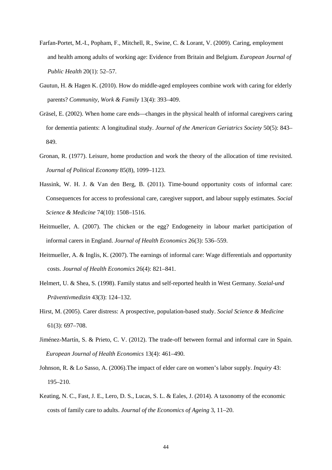- Farfan-Portet, M.-I., Popham, F., Mitchell, R., Swine, C. & Lorant, V. (2009). Caring, employment and health among adults of working age: Evidence from Britain and Belgium. *European Journal of Public Health* 20(1): 52–57.
- Gautun, H. & Hagen K. (2010). How do middle-aged employees combine work with caring for elderly parents? *Community, Work & Family* 13(4): 393–409.
- Gräsel, E. (2002). When home care ends—changes in the physical health of informal caregivers caring for dementia patients: A longitudinal study. *Journal of the American Geriatrics Society* 50(5): 843– 849.
- Gronan, R. (1977). Leisure, home production and work the theory of the allocation of time revisited. *Journal of Political Economy* 85(8), 1099–1123.
- Hassink, W. H. J. & Van den Berg, B. (2011). Time-bound opportunity costs of informal care: Consequences for access to professional care, caregiver support, and labour supply estimates. *Social Science & Medicine* 74(10): 1508–1516.
- Heitmueller, A. (2007). The chicken or the egg? Endogeneity in labour market participation of informal carers in England. *Journal of Health Economics* 26(3): 536–559.
- Heitmueller, A. & Inglis, K. (2007). The earnings of informal care: Wage differentials and opportunity costs. *Journal of Health Economics* 26(4): 821–841.
- Helmert, U. & Shea, S. (1998). Family status and self-reported health in West Germany. *Sozial-und Präventivmedizin* 43(3): 124–132.
- Hirst, M. (2005). Carer distress: A prospective, population-based study. *Social Science & Medicine*  61(3): 697–708.
- Jiménez-Martín, S. & Prieto, C. V. (2012). The trade-off between formal and informal care in Spain. *European Journal of Health Economics* 13(4): 461–490.
- Johnson, R. & Lo Sasso, A. (2006).The impact of elder care on women's labor supply. *Inquiry* 43: 195–210.
- Keating, N. C., Fast, J. E., Lero, D. S., Lucas, S. L. & Eales, J. (2014). A taxonomy of the economic costs of family care to adults. *Journal of the Economics of Ageing* 3, 11–20.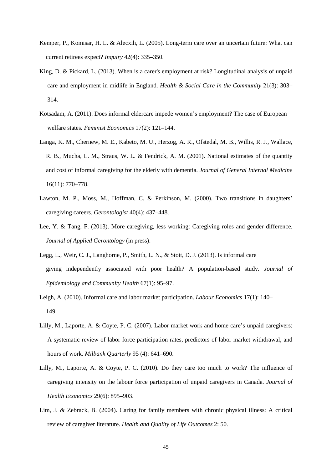- Kemper, P., Komisar, H. L. & Alecxih, L. (2005). Long-term care over an uncertain future: What can current retirees expect? *Inquiry* 42(4): 335–350.
- King, D. & Pickard, L. (2013). When is a carer's employment at risk? Longitudinal analysis of unpaid care and employment in midlife in England. *Health & Social Care in the Community* 21(3): 303– 314.
- Kotsadam, A. (2011). Does informal eldercare impede women's employment? The case of European welfare states. *Feminist Economics* 17(2): 121–144.
- Langa, K. M., Chernew, M. E., Kabeto, M. U., Herzog, A. R., Ofstedal, M. B., Willis, R. J., Wallace, R. B., Mucha, L. M., Straus, W. L. & Fendrick, A. M. (2001). National estimates of the quantity and cost of informal caregiving for the elderly with dementia. *Journal of General Internal Medicine* 16(11): 770–778.
- Lawton, M. P., Moss, M., Hoffman, C. & Perkinson, M. (2000). Two transitions in daughters' caregiving careers. *Gerontologist* 40(4): 437–448.
- Lee, Y. & Tang, F. (2013). More caregiving, less working: Caregiving roles and gender difference. *Journal of Applied Gerontology* (in press).
- Legg, L., Weir, C. J., Langhorne, P., Smith, L. N., & Stott, D. J. (2013). Is informal care giving independently associated with poor health? A population-based study. *Journal of Epidemiology and Community Health* 67(1): 95–97.
- Leigh, A. (2010). Informal care and labor market participation. *Labour Economics* 17(1): 140– 149.
- Lilly, M., Laporte, A. & Coyte, P. C. (2007). Labor market work and home care's unpaid caregivers: A systematic review of labor force participation rates, predictors of labor market withdrawal, and hours of work. *Milbank Quarterly* 95 (4): 641–690.
- Lilly, M., Laporte, A. & Coyte, P. C. (2010). Do they care too much to work? The influence of caregiving intensity on the labour force participation of unpaid caregivers in Canada. *Journal of Health Economics* 29(6): 895–903.
- Lim, J. & Zebrack, B. (2004). Caring for family members with chronic physical illness: A critical review of caregiver literature. *Health and Quality of Life Outcomes* 2: 50.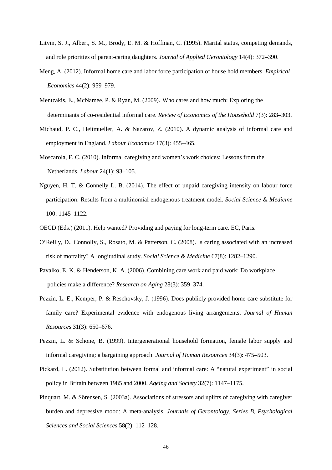- Litvin, S. J., Albert, S. M., Brody, E. M. & Hoffman, C. (1995). Marital status, competing demands, and role priorities of parent-caring daughters. *Journal of Applied Gerontology* 14(4): 372–390.
- Meng, A. (2012). Informal home care and labor force participation of house hold members. *Empirical Economics* 44(2): 959–979.
- Mentzakis, E., McNamee, P. & Ryan, M. (2009). Who cares and how much: Exploring the determinants of co-residential informal care. *Review of Economics of the Household* 7(3): 283–303.
- Michaud, P. C., Heitmueller, A. & Nazarov, Z. (2010). A dynamic analysis of informal care and employment in England. *Labour Economics* 17(3): 455–465.
- Moscarola, F. C. (2010). Informal caregiving and women's work choices: Lessons from the Netherlands. *Labour* 24(1): 93–105.
- Nguyen, H. T. & Connelly L. B. (2014). The effect of unpaid caregiving intensity on labour force participation: Results from a multinomial endogenous treatment model. *Social Science & Medicine*  100: 1145–1122.
- OECD (Eds.) (2011). Help wanted? Providing and paying for long-term care. EC, Paris.
- O'Reilly, D., Connolly, S., Rosato, M. & Patterson, C. (2008). Is caring associated with an increased risk of mortality? A longitudinal study. *Social Science & Medicine* 67(8): 1282–1290.
- Pavalko, E. K. & Henderson, K. A. (2006). Combining care work and paid work: Do workplace policies make a difference? *Research on Aging* 28(3): 359–374.
- Pezzin, L. E., Kemper, P. & Reschovsky, J. (1996). Does publicly provided home care substitute for family care? Experimental evidence with endogenous living arrangements. *Journal of Human Resources* 31(3): 650–676.
- Pezzin, L. & Schone, B. (1999). Intergenerational household formation, female labor supply and informal caregiving: a bargaining approach. *Journal of Human Resources* 34(3): 475–503.
- Pickard, L. (2012). Substitution between formal and informal care: A "natural experiment" in social policy in Britain between 1985 and 2000. *Ageing and Society* 32(7): 1147–1175.
- Pinquart, M. & Sörensen, S. (2003a). Associations of stressors and uplifts of caregiving with caregiver burden and depressive mood: A meta-analysis. *Journals of Gerontology. Series B, Psychological Sciences and Social Sciences* 58(2): 112–128.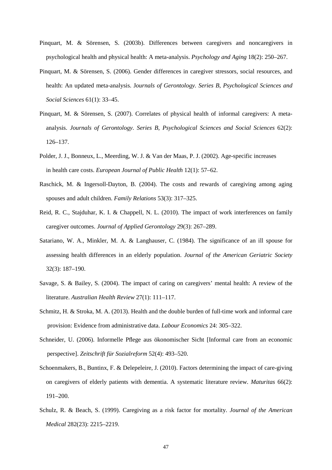- Pinquart, M. & Sörensen, S. (2003b). Differences between caregivers and noncaregivers in psychological health and physical health: A meta-analysis. *Psychology and Aging* 18(2): 250–267.
- Pinquart, M. & Sörensen, S. (2006). Gender differences in caregiver stressors, social resources, and health: An updated meta-analysis. J*ournals of Gerontology. Series B, Psychological Sciences and Social Sciences* 61(1): 33–45.
- Pinquart, M. & Sörensen, S. (2007). Correlates of physical health of informal caregivers: A metaanalysis. *Journals of Gerontology. Series B, Psychological Sciences and Social Sciences* 62(2): 126–137.
- Polder, J. J., Bonneux, L., Meerding, W. J. & Van der Maas, P. J. (2002). Age-specific increases in health care costs. *European Journal of Public Health* 12(1): 57–62.
- Raschick, M. & Ingersoll-Dayton, B. (2004). The costs and rewards of caregiving among aging spouses and adult children. *Family Relations* 53(3): 317–325.
- Reid, R. C., Stajduhar, K. I. & Chappell, N. L. (2010). The impact of work interferences on family caregiver outcomes. *Journal of Applied Gerontology* 29(3): 267–289.
- Satariano, W. A., Minkler, M. A. & Langhauser, C. (1984). The significance of an ill spouse for assessing health differences in an elderly population. *Journal of the American Geriatric Society*  32(3): 187–190.
- Savage, S. & Bailey, S. (2004). The impact of caring on caregivers' mental health: A review of the literature. *Australian Health Review* 27(1): 111–117.
- Schmitz, H. & Stroka, M. A. (2013). Health and the double burden of full-time work and informal care provision: Evidence from administrative data. *Labour Economics* 24: 305–322.
- Schneider, U. (2006). Informelle Pflege aus ökonomischer Sicht [Informal care from an economic perspective]. *Zeitschrift für Sozialreform* 52(4): 493–520.
- Schoenmakers, B., Buntinx, F. & Delepeleire, J. (2010). Factors determining the impact of care-giving on caregivers of elderly patients with dementia. A systematic literature review. *Maturitas* 66(2): 191–200.
- Schulz, R. & Beach, S. (1999). Caregiving as a risk factor for mortality. *Journal of the American Medical* 282(23): 2215–2219.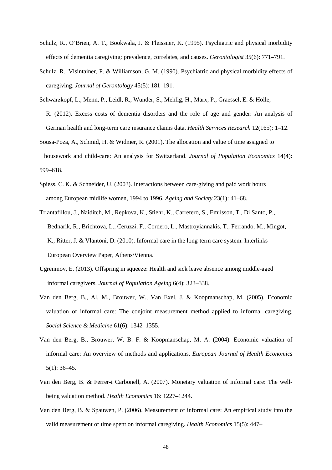- Schulz, R., O'Brien, A. T., Bookwala, J. & Fleissner, K. (1995). Psychiatric and physical morbidity effects of dementia caregiving: prevalence, correlates, and causes. *Gerontologist* 35(6): 771–791.
- Schulz, R., Visintainer, P. & Williamson, G. M. (1990). Psychiatric and physical morbidity effects of caregiving. *Journal of Gerontology* 45(5): 181–191.
- Schwarzkopf, L., Menn, P., Leidl, R., Wunder, S., Mehlig, H., Marx, P., Graessel, E. & Holle, R. (2012). Excess costs of dementia disorders and the role of age and gender: An analysis of German health and long-term care insurance claims data. *Health Services Research* 12(165): 1–12.
- Sousa-Poza, A., Schmid, H. & Widmer, R. (2001). The allocation and value of time assigned to housework and child-care: An analysis for Switzerland. *Journal of Population Economics* 14(4): 599–618.
- Spiess, C. K. & Schneider, U. (2003). Interactions between care-giving and paid work hours among European midlife women, 1994 to 1996. *Ageing and Society* 23(1): 41–68.
- Triantafillou, J., Naiditch, M., Repkova, K., Stiehr, K., Carretero, S., Emilsson, T., Di Santo, P., Bednarik, R., Brichtova, L., Ceruzzi, F., Cordero, L., Mastroyiannakis, T., Ferrando, M., Mingot, K., Ritter, J. & Vlantoni, D. (2010). Informal care in the long-term care system. Interlinks European Overview Paper, Athens/Vienna.
- Ugreninov, E. (2013). Offspring in squeeze: Health and sick leave absence among middle-aged informal caregivers. *Journal of Population Ageing* 6(4): 323–338.
- Van den Berg, B., Al, M., Brouwer, W., Van Exel, J. & Koopmanschap, M. (2005). Economic valuation of informal care: The conjoint measurement method applied to informal caregiving. *Social Science & Medicine* 61(6): 1342–1355.
- Van den Berg, B., Brouwer, W. B. F. & Koopmanschap, M. A. (2004). Economic valuation of informal care: An overview of methods and applications. *European Journal of Health Economics* 5(1): 36–45.
- Van den Berg, B. & Ferrer-i Carbonell, A. (2007). Monetary valuation of informal care: The wellbeing valuation method. *Health Economics* 16: 1227–1244.
- Van den Berg, B. & Spauwen, P. (2006). Measurement of informal care: An empirical study into the valid measurement of time spent on informal caregiving. *Health Economics* 15(5): 447–